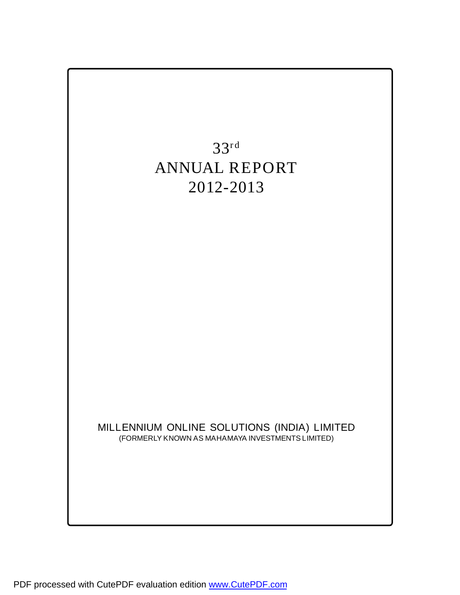

PDF processed with CutePDF evaluation edition [www.CutePDF.com](http://www.cutepdf.com)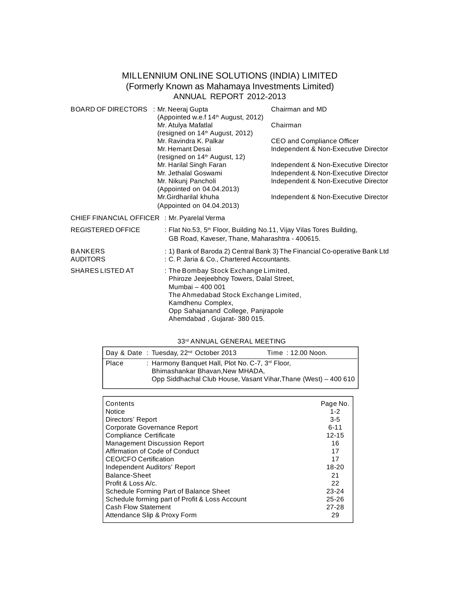# **MILLENNIUM ONLINE SOLUTIONS (INDIA) LIMITED (Formerly Known as Mahamaya Investments Limited) ANNUAL REPORT 2012-2013**

| <b>BOARD OF DIRECTORS</b> : Mr. Neeraj Gupta                                                                                                                                                                                                                       | (Appointed w.e.f 14 <sup>th</sup> August, 2012)<br>Mr. Atulya Mafatlal<br>(resigned on 14 <sup>th</sup> August, 2012)<br>Mr. Ravindra K. Palkar<br>Mr. Hemant Desai<br>(resigned on 14 <sup>th</sup> August, 12)<br>Mr. Harilal Singh Faran<br>Mr. Jethalal Goswami<br>Mr. Nikunj Pancholi<br>(Appointed on 04.04.2013)<br>Mr.Girdharilal khuha<br>(Appointed on 04.04.2013) | Chairman and MD<br>Chairman<br>CEO and Compliance Officer<br>Independent & Non-Executive Director<br>Independent & Non-Executive Director<br>Independent & Non-Executive Director<br>Independent & Non-Executive Director<br>Independent & Non-Executive Director |
|--------------------------------------------------------------------------------------------------------------------------------------------------------------------------------------------------------------------------------------------------------------------|------------------------------------------------------------------------------------------------------------------------------------------------------------------------------------------------------------------------------------------------------------------------------------------------------------------------------------------------------------------------------|-------------------------------------------------------------------------------------------------------------------------------------------------------------------------------------------------------------------------------------------------------------------|
| <b>CHIEF FINANCIAL OFFICER</b> : Mr. Pyarelal Verma                                                                                                                                                                                                                |                                                                                                                                                                                                                                                                                                                                                                              |                                                                                                                                                                                                                                                                   |
| <b>REGISTERED OFFICE</b>                                                                                                                                                                                                                                           | : Flat No.53, 5 <sup>th</sup> Floor, Building No.11, Vijay Vilas Tores Building,<br>GB Road, Kaveser, Thane, Maharashtra - 400615.                                                                                                                                                                                                                                           |                                                                                                                                                                                                                                                                   |
| <b>BANKERS</b><br><b>AUDITORS</b>                                                                                                                                                                                                                                  | : C. P. Jaria & Co., Chartered Accountants.                                                                                                                                                                                                                                                                                                                                  | : 1) Bank of Baroda 2) Central Bank 3) The Financial Co-operative Bank Ltd                                                                                                                                                                                        |
| <b>SHARES LISTED AT</b><br>: The Bombay Stock Exchange Limited,<br>Phiroze Jeejeebhoy Towers, Dalal Street,<br>Mumbai - 400 001<br>The Ahmedabad Stock Exchange Limited,<br>Kamdhenu Complex,<br>Opp Sahajanand College, Panjrapole<br>Ahemdabad, Gujarat-380 015. |                                                                                                                                                                                                                                                                                                                                                                              |                                                                                                                                                                                                                                                                   |

# **33rd ANNUAL GENERAL MEETING**

|              | Day & Date: Tuesday, $22^{nd}$ October 2013                                                     | <b>Time: 12.00 Noon.</b>                                        |
|--------------|-------------------------------------------------------------------------------------------------|-----------------------------------------------------------------|
| <b>Place</b> | : Harmony Banquet Hall, Plot No. C-7, 3 <sup>rd</sup> Floor,<br>Bhimashankar Bhavan, New MHADA, | Opp Siddhachal Club House, Vasant Vihar, Thane (West) – 400 610 |

| <b>Contents</b>                                | Page No.  |
|------------------------------------------------|-----------|
| Notice                                         | $1 - 2$   |
| Directors' Report                              | $3-5$     |
| Corporate Governance Report                    | $6 - 11$  |
| Compliance Certificate                         | $12 - 15$ |
| <b>Management Discussion Report</b>            | 16        |
| Affirmation of Code of Conduct                 | 17        |
| <b>CEO/CFO Certification</b>                   | 17        |
| Independent Auditors' Report                   | $18 - 20$ |
| Balance-Sheet                                  | 21        |
| Profit & Loss A/c.                             | 22        |
| Schedule Forming Part of Balance Sheet         | $23 - 24$ |
| Schedule forming part of Profit & Loss Account | $25 - 26$ |
| <b>Cash Flow Statement</b>                     | 27-28     |
| Attendance Slip & Proxy Form                   | 29        |
|                                                |           |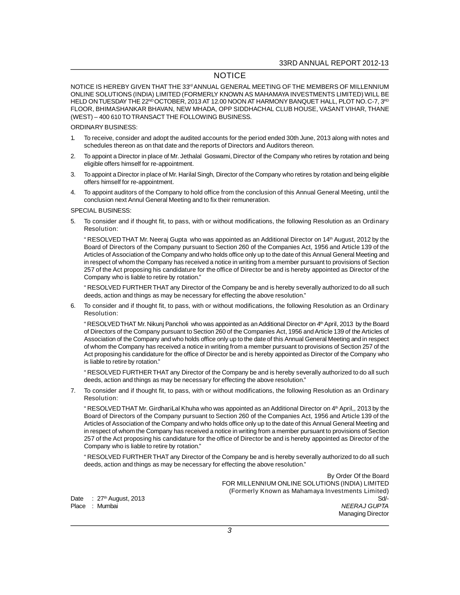# **NOTICE**

**NOTICE IS HEREBY GIVEN THAT THE 33rd ANNUAL GENERAL MEETING OF THE MEMBERS OF MILLENNIUM ONLINE SOLUTIONS (INDIA) LIMITED (FORMERLY KNOWN AS MAHAMAYA INVESTMENTS LIMITED) WILL BE HELD ON TUESDAY THE 22ND OCTOBER, 2013 AT 12.00 NOON AT HARMONY BANQUET HALL, PLOT NO. C-7, 3RD FLOOR, BHIMASHANKAR BHAVAN, NEW MHADA, OPP SIDDHACHAL CLUB HOUSE, VASANT VIHAR, THANE (WEST) – 400 610 TO TRANSACT THE FOLLOWING BUSINESS.**

### **ORDINARY BUSINESS:**

- **1. To receive, consider and adopt the audited accounts for the period ended 30th June, 2013 along with notes and schedules thereon as on that date and the reports of Directors and Auditors thereon.**
- **2. To appoint a Director in place of Mr. Jethalal Goswami, Director of the Company who retires by rotation and being eligible offers himself for re-appointment.**
- **3. To appoint a Director in place of Mr. Harilal Singh, Director of the Company who retires by rotation and being eligible offers himself for re-appointment.**
- **4. To appoint auditors of the Company to hold office from the conclusion of this Annual General Meeting, until the conclusion next Annul General Meeting and to fix their remuneration.**

### **SPECIAL BUSINESS:**

**5. To consider and if thought fit, to pass, with or without modifications, the following Resolution as an Ordinary Resolution:**

**"RESOLVED THAT Mr. Neeraj Gupta who was appointed as an Additional Director on 14th August, 2012 by the Board of Directors of the Company pursuant to Section 260 of the Companies Act, 1956 and Article 139 of the Articles of Association of the Company and who holds office only up to the date of this Annual General Meeting and in respect of whom the Company has received a notice in writing from a member pursuant to provisions of Section 257 of the Act proposing his candidature for the office of Director be and is hereby appointed as Director of the Company who is liable to retire by rotation."**

**"RESOLVED FURTHER THAT any Director of the Company be and is hereby severally authorized to do all such deeds, action and things as may be necessary for effecting the above resolution."**

**6. To consider and if thought fit, to pass, with or without modifications, the following Resolution as an Ordinary Resolution:**

**"RESOLVED THAT Mr. Nikunj Pancholi who was appointed as an Additional Director on 4th April, 2013 by the Board of Directors of the Company pursuant to Section 260 of the Companies Act, 1956 and Article 139 of the Articles of Association of the Company and who holds office only up to the date of this Annual General Meeting and in respect of whom the Company has received a notice in writing from a member pursuant to provisions of Section 257 of the Act proposing his candidature for the office of Director be and is hereby appointed as Director of the Company who is liable to retire by rotation."**

**"RESOLVED FURTHER THAT any Director of the Company be and is hereby severally authorized to do all such deeds, action and things as may be necessary for effecting the above resolution."**

**7. To consider and if thought fit, to pass, with or without modifications, the following Resolution as an Ordinary Resolution:**

**"RESOLVED THAT Mr. GirdhariLal Khuha who was appointed as an Additional Director on 4th April,, 2013 by the Board of Directors of the Company pursuant to Section 260 of the Companies Act, 1956 and Article 139 of the Articles of Association of the Company and who holds office only up to the date of this Annual General Meeting and in respect of whom the Company has received a notice in writing from a member pursuant to provisions of Section 257 of the Act proposing his candidature for the office of Director be and is hereby appointed as Director of the Company who is liable to retire by rotation."**

**"RESOLVED FURTHER THAT any Director of the Company be and is hereby severally authorized to do all such deeds, action and things as may be necessary for effecting the above resolution."**

**By Order Of the Board FOR MILLENNIUM ONLINE SOLUTIONS (INDIA) LIMITED (Formerly Known as Mahamaya Investments Limited) Date : 27th August, 2013 Sd/-**

 $Place : Mumbai$ 

**Managing Director**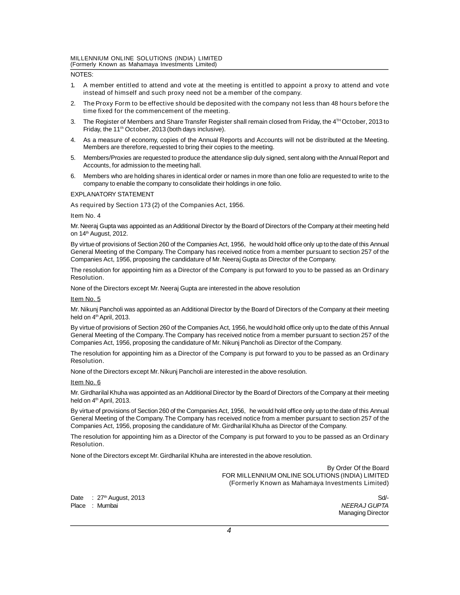**(Formerly Known as Mahamaya Investments Limited)**

# **NOTES:**

- **1. A member entitled to attend and vote at the meeting is entitled to appoint a proxy to attend and vote instead of himself and such proxy need not be a member of the company.**
- **2. The Proxy Form to be effective should be deposited with the company not less than 48 hours before the time fixed for the commencement of the meeting.**
- **3. The Register of Members and Share Transfer Register shall remain closed from Friday, the 4 TH October, 2013 to Friday, the 11th October, 2013 (both days inclusive).**
- **4. As a measure of economy, copies of the Annual Reports and Accounts will not be distributed at the Meeting. Members are therefore, requested to bring their copies to the meeting.**
- **5. Members/Proxies are requested to produce the attendance slip duly signed, sent along with the Annual Report and Accounts, for admission to the meeting hall.**
- **6. Members who are holding shares in identical order or names in more than one folio are requested to write to the company to enable the company to consolidate their holdings in one folio.**

#### **EXPLANATORY STATEMENT**

#### **As required by Section 173 (2) of the Companies Act, 1956.**

#### **Item No. 4**

**Mr. Neeraj Gupta was appointed as an Additional Director by the Board of Directors of the Company at their meeting held on 14th August, 2012.**

**By virtue of provisions of Section 260 of the Companies Act, 1956, he would hold office only up to the date of this Annual General Meeting of the Company. The Company has received notice from a member pursuant to section 257 of the Companies Act, 1956, proposing the candidature of Mr. Neeraj Gupta as Director of the Company.**

**The resolution for appointing him as a Director of the Company is put forward to you to be passed as an Ordinary Resolution.**

**None of the Directors except Mr. Neeraj Gupta are interested in the above resolution**

#### **Item No. 5**

**Mr. Nikunj Pancholi was appointed as an Additional Director by the Board of Directors of the Company at their meeting held on 4th April, 2013.**

**By virtue of provisions of Section 260 of the Companies Act, 1956, he would hold office only up to the date of this Annual General Meeting of the Company. The Company has received notice from a member pursuant to section 257 of the Companies Act, 1956, proposing the candidature of Mr. Nikunj Pancholi as Director of the Company.**

**The resolution for appointing him as a Director of the Company is put forward to you to be passed as an Ordinary Resolution.**

**None of the Directors except Mr. Nikunj Pancholi are interested in the above resolution.**

#### **Item No. 6**

**Mr. Girdharilal Khuha was appointed as an Additional Director by the Board of Directors of the Company at their meeting held on 4th April, 2013.**

**By virtue of provisions of Section 260 of the Companies Act, 1956, he would hold office only up to the date of this Annual General Meeting of the Company. The Company has received notice from a member pursuant to section 257 of the Companies Act, 1956, proposing the candidature of Mr. Girdharilal Khuha as Director of the Company.**

**The resolution for appointing him as a Director of the Company is put forward to you to be passed as an Ordinary Resolution.**

**None of the Directors except Mr. Girdharilal Khuha are interested in the above resolution.**

**By Order Of the Board FOR MILLENNIUM ONLINE SOLUTIONS (INDIA) LIMITED (Formerly Known as Mahamaya Investments Limited)**

**Date : 27th August, 2013 Sd/- Place : Mumbai** *NEERAJ GUPTA*

**Managing Director**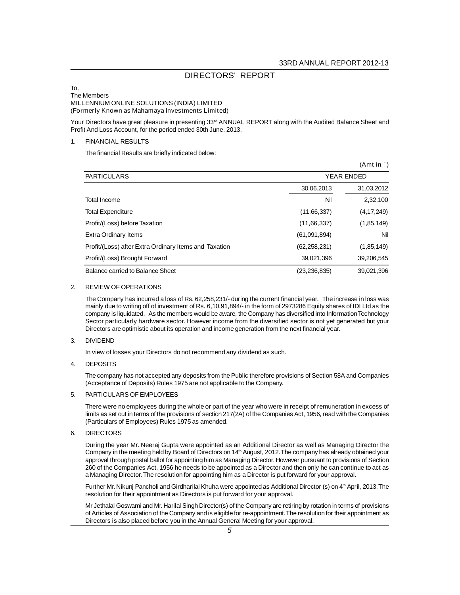# **DIRECTORS' REPORT**

#### **To, The Members MILLENNIUM ONLINE SOLUTIONS (INDIA) LIMITED (Formerly Known as Mahamaya Investments Limited)**

**Your Directors have great pleasure in presenting 33rd ANNUAL REPORT along with the Audited Balance Sheet and Profit And Loss Account, for the period ended 30th June, 2013.**

# **1. FINANCIAL RESULTS**

**The financial Results are briefly indicated below:**

|                                                       |                   | (Amt in `)   |
|-------------------------------------------------------|-------------------|--------------|
| <b>PARTICULARS</b>                                    | <b>YEAR ENDED</b> |              |
|                                                       | 30.06.2013        | 31.03.2012   |
| <b>Total Income</b>                                   | Nil               | 2,32,100     |
| <b>Total Expenditure</b>                              | (11,66,337)       | (4,17,249)   |
| Profit/(Loss) before Taxation                         | (11,66,337)       | (1, 85, 149) |
| Extra Ordinary Items                                  | (61,091,894)      | Nil          |
| Profit/(Loss) after Extra Ordinary Items and Taxation | (62, 258, 231)    | (1, 85, 149) |
| Profit/(Loss) Brought Forward                         | 39,021,396        | 39,206,545   |
| Balance carried to Balance Sheet                      | (23, 236, 835)    | 39.021.396   |

#### **2. REVIEW OF OPERATIONS**

**The Company has incurred a loss of Rs. 62,258,231/- during the current financial year. The increase in loss was mainly due to writing off of investment of Rs. 6,10,91,894/- in the form of 2973286 Equity shares of IDI Ltd as the company is liquidated. As the members would be aware, the Company has diversified into Information Technology Sector particularly hardware sector. However income from the diversified sector is not yet generated but your Directors are optimistic about its operation and income generation from the next financial year.**

# **3. DIVIDEND**

**In view of losses your Directors do not recommend any dividend as such.**

# **4. DEPOSITS**

**The company has not accepted any deposits from the Public therefore provisions of Section 58A and Companies (Acceptance of Deposits) Rules 1975 are not applicable to the Company.**

# **5. PARTICULARS OF EMPLOYEES**

**There were no employees during the whole or part of the year who were in receipt of remuneration in excess of limits as set out in terms of the provisions of section 217(2A) of the Companies Act, 1956, read with the Companies (Particulars of Employees) Rules 1975 as amended.**

# **6. DIRECTORS**

**During the year Mr. Neeraj Gupta were appointed as an Additional Director as well as Managing Director the Company in the meeting held by Board of Directors on 14th August, 2012. The company has already obtained your approval through postal ballot for appointing him as Managing Director. However pursuant to provisions of Section 260 of the Companies Act, 1956 he needs to be appointed as a Director and then only he can continue to act as a Managing Director. The resolution for appointing him as a Director is put forward for your approval.**

**Further Mr. Nikunj Pancholi and Girdharilal Khuha were appointed as Additional Director (s) on 4th April, 2013. The resolution for their appointment as Directors is put forward for your approval.**

**Mr Jethalal Goswami and Mr. Harilal Singh Director(s) of the Company are retiring by rotation in terms of provisions of Articles of Association of the Company and is eligible for re-appointment. The resolution for their appointment as Directors is also placed before you in the Annual General Meeting for your approval.**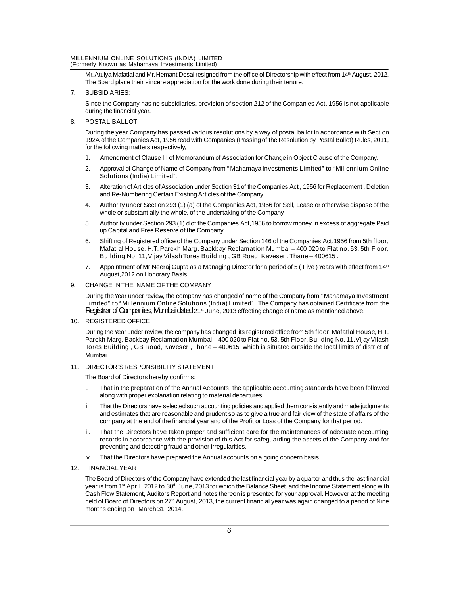# **MILLENNIUM ONLINE SOLUTIONS (INDIA) LIMITED**

**(Formerly Known as Mahamaya Investments Limited)**

**Mr. Atulya Mafatlal and Mr. Hemant Desai resigned from the office of Directorship with effect from 14 th August, 2012. The Board place their sincere appreciation for the work done during their tenure.**

# **7. SUBSIDIARIES:**

**Since the Company has no subsidiaries, provision of section 212 of the Companies Act, 1956 is not applicable during the financial year.**

# **8. POSTAL BALLOT**

**During the year Company has passed various resolutions by a way of postal ballot in accordance with Section 192A of the Companies Act, 1956 read with Companies (Passing of the Resolution by Postal Ballot) Rules, 2011, for the following matters respectively,**

- **1. Amendment of Clause III of Memorandum of Association for Change in Object Clause of the Company.**
- **2. Approval of Change of Name of Company from "Mahamaya Investments Limited" to "Millennium Online Solutions (India) Limited".**
- **3. Alteration of Articles of Association under Section 31 of the Companies Act , 1956 for Replacement , Deletion and Re-Numbering Certain Existing Articles of the Company.**
- **4. Authority under Section 293 (1) (a) of the Companies Act, 1956 for Sell, Lease or otherwise dispose of the whole or substantially the whole, of the undertaking of the Company.**
- **5. Authority under Section 293 (1) d of the Companies Act,1956 to borrow money in excess of aggregate Paid up Capital and Free Reserve of the Company**
- **6. Shifting of Registered office of the Company under Section 146 of the Companies Act,1956 from 5th floor, Mafatlal House, H.T. Parekh Marg, Backbay Reclamation Mumbai – 400 020 to Flat no. 53, 5th Floor, Building No. 11, Vijay Vilash Tores Building , GB Road, Kaveser , Thane – 400615 .**
- **7. Appointment of Mr Neeraj Gupta as a Managing Director for a period of 5 ( Five ) Years with effect from 14th August,2012 on Honorary Basis.**

# **9. CHANGE IN THE NAME OF THE COMPANY**

**During the Year under review, the company has changed of name of the Company from "Mahamaya Investment Limited" to "Millennium Online Solutions (India) Limited". The Company has obtained Certificate from the** Registrar of Companies, Mumbai dated **21st June, 2013 effecting change of name as mentioned above.**

# **10. REGISTERED OFFICE**

**During the Year under review, the company has changed its registered office from 5th floor, Mafatlal House, H.T. Parekh Marg, Backbay Reclamation Mumbai – 400 020 to Flat no. 53, 5th Floor, Building No. 11, Vijay Vilash Tores Building , GB Road, Kaveser , Thane – 400615 which is situated outside the local limits of district of Mumbai.**

# **11. DIRECTOR'S RESPONSIBILITY STATEMENT**

**The Board of Directors hereby confirms:**

- **i. That in the preparation of the Annual Accounts, the applicable accounting standards have been followed along with proper explanation relating to material departures.**
- **ii. That the Directors have selected such accounting policies and applied them consistently and made judgments and estimates that are reasonable and prudent so as to give a true and fair view of the state of affairs of the company at the end of the financial year and of the Profit or Loss of the Company for that period.**
- **iii. That the Directors have taken proper and sufficient care for the maintenances of adequate accounting records in accordance with the provision of this Act for safeguarding the assets of the Company and for preventing and detecting fraud and other irregularities.**
- **iv. That the Directors have prepared the Annual accounts on a going concern basis.**

# **12. FINANCIAL YEAR**

**The Board of Directors of the Company have extended the last financial year by a quarter and thus the last financial year is from 1 st April, 2012 to 30th June, 2013 for which the Balance Sheet and the Income Statement along with Cash Flow Statement, Auditors Report and notes thereon is presented for your approval. However at the meeting held of Board of Directors on 27th August, 2013, the current financial year was again changed to a period of Nine months ending on March 31, 2014.**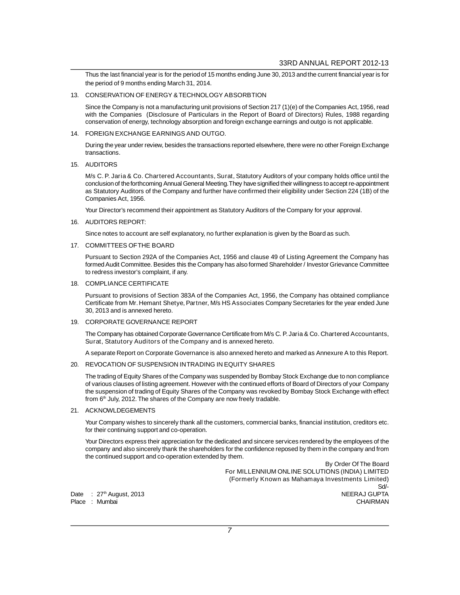**Thus the last financial year is for the period of 15 months ending June 30, 2013 and the current financial year is for the period of 9 months ending March 31, 2014.**

# **13. CONSERVATION OF ENERGY & TECHNOLOGY ABSORBTION**

**Since the Company is not a manufacturing unit provisions of Section 217 (1)(e) of the Companies Act, 1956, read with the Companies (Disclosure of Particulars in the Report of Board of Directors) Rules, 1988 regarding conservation of energy, technology absorption and foreign exchange earnings and outgo is not applicable.**

#### **14. FOREIGN EXCHANGE EARNINGS AND OUTGO.**

**During the year under review, besides the transactions reported elsewhere, there were no other Foreign Exchange transactions.**

#### **15. AUDITORS**

**M/s C. P. Jaria & Co. Chartered Accountants, Surat, Statutory Auditors of your company holds office until the conclusion of the forthcoming Annual General Meeting. They have signified their willingness to accept re-appointment as Statutory Auditors of the Company and further have confirmed their eligibility under Section 224 (1B) of the Companies Act, 1956.**

**Your Director's recommend their appointment as Statutory Auditors of the Company for your approval.**

# **16. AUDITORS REPORT:**

**Since notes to account are self explanatory, no further explanation is given by the Board as such.**

#### **17. COMMITTEES OF THE BOARD**

**Pursuant to Section 292A of the Companies Act, 1956 and clause 49 of Listing Agreement the Company has formed Audit Committee. Besides this the Company has also formed Shareholder / Investor Grievance Committee to redress investor's complaint, if any.**

# **18. COMPLIANCE CERTIFICATE**

**Pursuant to provisions of Section 383A of the Companies Act, 1956, the Company has obtained compliance Certificate from Mr. Hemant Shetye, Partner, M/s HS Associates Company Secretaries for the year ended June 30, 2013 and is annexed hereto.**

# **19. CORPORATE GOVERNANCE REPORT**

**The Company has obtained Corporate Governance Certificate from M/s C. P. Jaria & Co. Chartered Accountants, Surat, Statutory Auditors of the Company and is annexed hereto.**

**A separate Report on Corporate Governance is also annexed hereto and marked as Annexure A to this Report.**

# **20. REVOCATION OF SUSPENSION IN TRADING IN EQUITY SHARES**

**The trading of Equity Shares of the Company was suspended by Bombay Stock Exchange due to non compliance of various clauses of listing agreement. However with the continued efforts of Board of Directors of your Company the suspension of trading of Equity Shares of the Company was revoked by Bombay Stock Exchange with effect from 6th July, 2012. The shares of the Company are now freely tradable.**

# **21. ACKNOWLDEGEMENTS**

**Your Company wishes to sincerely thank all the customers, commercial banks, financial institution, creditors etc. for their continuing support and co-operation.**

**Your Directors express their appreciation for the dedicated and sincere services rendered by the employees of the company and also sincerely thank the shareholders for the confidence reposed by them in the company and from the continued support and co-operation extended by them.**

**By Order Of The Board For MILLENNIUM ONLINE SOLUTIONS (INDIA) LIMITED (Formerly Known as Mahamaya Investments Limited) Sd/- Date : 27th August, 2013 NEERAJ GUPTA**

**Place : Mumbai CHAIRMAN**

*7*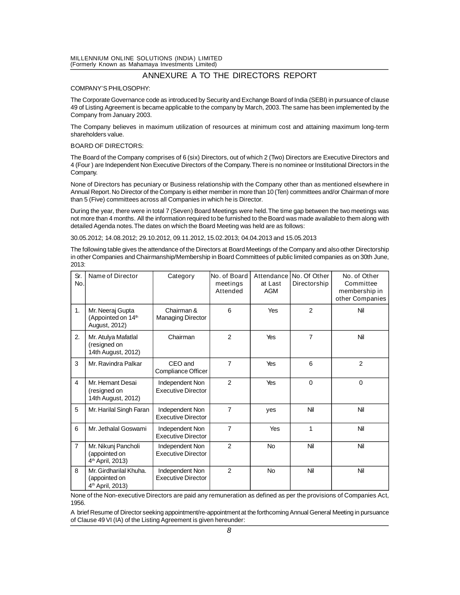# **MILLENNIUM ONLINE SOLUTIONS (INDIA) LIMITED**

**(Formerly Known as Mahamaya Investments Limited)**

# **ANNEXURE A TO THE DIRECTORS REPORT**

#### **COMPANY'S PHILOSOPHY:**

**The Corporate Governance code as introduced by Security and Exchange Board of India (SEBI) in pursuance of clause 49 of Listing Agreement is became applicable to the company by March, 2003. The same has been implemented by the Company from January 2003.**

**The Company believes in maximum utilization of resources at minimum cost and attaining maximum long-term shareholders value.**

#### **BOARD OF DIRECTORS:**

**The Board of the Company comprises of 6 (six) Directors, out of which 2 (Two) Directors are Executive Directors and 4 (Four ) are Independent Non Executive Directors of the Company. There is no nominee or Institutional Directors in the Company.**

**None of Directors has pecuniary or Business relationship with the Company other than as mentioned elsewhere in Annual Report. No Director of the Company is either member in more than 10 (Ten) committees and/or Chairman of more than 5 (Five) committees across all Companies in which he is Director.**

**During the year, there were in total 7 (Seven) Board Meetings were held. The time gap between the two meetings was not more than 4 months. All the information required to be furnished to the Board was made available to them along with detailed Agenda notes. The dates on which the Board Meeting was held are as follows:**

**30.05.2012; 14.08.2012; 29.10.2012, 09.11.2012, 15.02.2013; 04.04.2013 and 15.05.2013**

**The following table gives the attendance of the Directors at Board Meetings of the Company and also other Directorship in other Companies and Chairmanship/Membership in Board Committees of public limited companies as on 30th June, 2013:**

| Sr.<br>No.     | <b>Name of Director</b>                                                 | Category                                     | No. of Board<br>meetings<br><b>Attended</b> | Attendance<br>at Last<br><b>AGM</b> | No. Of Other<br>Directorship | No. of Other<br>Committee<br>membership in<br>other Companies |
|----------------|-------------------------------------------------------------------------|----------------------------------------------|---------------------------------------------|-------------------------------------|------------------------------|---------------------------------------------------------------|
| 1.             | Mr. Neeraj Gupta<br>(Appointed on 14th<br>August, 2012)                 | Chairman &<br><b>Managing Director</b>       | 6                                           | Yes                                 | $\overline{2}$               | Nil                                                           |
| 2.             | Mr. Atulya Mafatlal<br>(resigned on<br>14th August, 2012)               | Chairman                                     | $\overline{2}$                              | Yes                                 | $\overline{7}$               | Nil                                                           |
| 3              | Mr. Ravindra Palkar                                                     | CEO and<br>Compliance Officer                | $\overline{7}$                              | Yes                                 | 6                            | $\overline{2}$                                                |
| 4              | Mr. Hemant Desai<br>(resigned on<br>14th August, 2012)                  | Independent Non<br><b>Executive Director</b> | $\mathfrak{p}$                              | Yes                                 | $\Omega$                     | $\mathbf 0$                                                   |
| 5              | Mr. Harilal Singh Faran                                                 | Independent Non<br><b>Executive Director</b> | $\overline{7}$                              | yes                                 | Nil                          | Nil                                                           |
| 6              | Mr. Jethalal Goswami                                                    | Independent Non<br><b>Executive Director</b> | $\overline{7}$                              | Yes                                 | 1                            | Nil                                                           |
| $\overline{7}$ | Mr. Nikunj Pancholi<br>(appointed on<br>4 <sup>th</sup> April, 2013)    | Independent Non<br><b>Executive Director</b> | $\overline{2}$                              | <b>No</b>                           | Nil                          | Nil                                                           |
| 8              | Mr. Girdharilal Khuha.<br>(appointed on<br>4 <sup>th</sup> April, 2013) | Independent Non<br><b>Executive Director</b> | $\mathfrak{p}$                              | <b>No</b>                           | Nil                          | Nil                                                           |

**None of the Non-executive Directors are paid any remuneration as defined as per the provisions of Companies Act, 1956.**

**A brief Resume of Director seeking appointment/re-appointment at the forthcoming Annual General Meeting in pursuance of Clause 49 VI (IA) of the Listing Agreement is given hereunder:**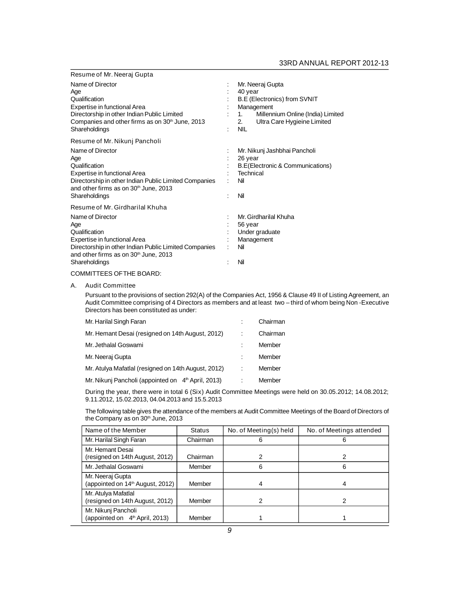# **33RD ANNUAL REPORT 2012-13**

| Resume of Mr. Neeraj Gupta                                                                                                                                                                  |   |                                                                                                                                                                                |
|---------------------------------------------------------------------------------------------------------------------------------------------------------------------------------------------|---|--------------------------------------------------------------------------------------------------------------------------------------------------------------------------------|
| Name of Director<br>Age<br>Qualification<br>Expertise in functional Area<br>Directorship in other Indian Public Limited<br>Companies and other firms as on 30th June, 2013<br>Shareholdings |   | Mr. Neeraj Gupta<br>40 year<br><b>B.E (Electronics) from SVNIT</b><br>Management<br>Millennium Online (India) Limited<br>1.<br>Ultra Care Hygieine Limited<br>2.<br><b>NIL</b> |
| Resume of Mr. Nikunj Pancholi                                                                                                                                                               |   |                                                                                                                                                                                |
| Name of Director<br>Age<br>Qualification<br>Expertise in functional Area<br>Directorship in other Indian Public Limited Companies<br>and other firms as on 30th June, 2013<br>Shareholdings |   | Mr. Nikunj Jashbhai Pancholi<br>26 year<br>B.E(Electronic & Communications)<br>Technical<br>Nil<br>Nil                                                                         |
| Resume of Mr. Girdharilal Khuha                                                                                                                                                             |   |                                                                                                                                                                                |
| Name of Director<br>Age<br>Qualification<br>Expertise in functional Area<br>Directorship in other Indian Public Limited Companies<br>and other firms as on 30th June, 2013                  | ÷ | Mr. Girdharilal Khuha<br>56 year<br>Under graduate<br>Management<br>Nil                                                                                                        |
| Shareholdings                                                                                                                                                                               |   | Nil                                                                                                                                                                            |

# **COMMITTEES OF THE BOARD:**

#### **A. Audit Committee**

**Pursuant to the provisions of section 292(A) of the Companies Act, 1956 & Clause 49 II of Listing Agreement, an Audit Committee comprising of 4 Directors as members and at least two – third of whom being Non -Executive Directors has been constituted as under:**

| Mr. Harilal Singh Faran                                        | Chairman |
|----------------------------------------------------------------|----------|
| Mr. Hemant Desai (resigned on 14th August, 2012)               | Chairman |
| Mr. Jethalal Goswami                                           | Member   |
| Mr. Neeraj Gupta                                               | Member   |
| Mr. Atulya Mafatlal (resigned on 14th August, 2012)            | Member   |
| Mr. Nikunj Pancholi (appointed on 4 <sup>th</sup> April, 2013) | Member   |

**During the year, there were in total 6 (Six) Audit Committee Meetings were held on 30.05.2012; 14.08.2012; 9.11.2012, 15.02.2013, 04.04.2013 and 15.5.2013**

**The following table gives the attendance of the members at Audit Committee Meetings of the Board of Directors of the Company as on 30th June, 2013**

| Name of the Member                                                | <b>Status</b> | No. of Meeting(s) held | No. of Meetings attended |
|-------------------------------------------------------------------|---------------|------------------------|--------------------------|
| Mr. Harilal Singh Faran                                           | Chairman      | 6                      | 6                        |
| Mr. Hemant Desai<br>(resigned on 14th August, 2012)               | Chairman      |                        |                          |
| Mr. Jethalal Goswami                                              | Member        | 6                      | 6                        |
| Mr. Neeraj Gupta<br>(appointed on 14 <sup>th</sup> August, 2012)  | Member        |                        |                          |
| Mr. Atulya Mafatlal<br>(resigned on 14th August, 2012)            | Member        | 2                      |                          |
| Mr. Nikunj Pancholi<br>(appointed on 4 <sup>th</sup> April, 2013) | Member        |                        |                          |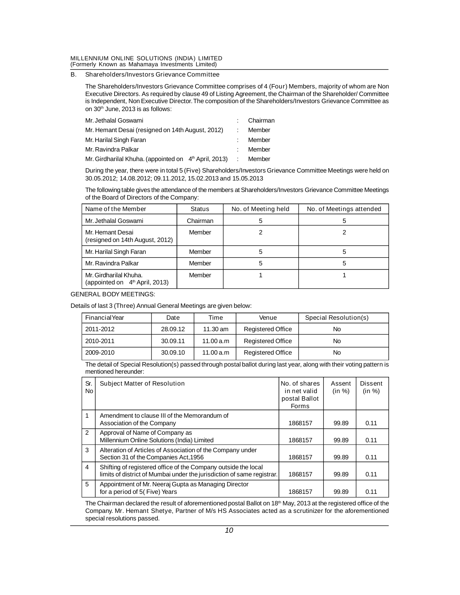# **MILLENNIUM ONLINE SOLUTIONS (INDIA) LIMITED**

**(Formerly Known as Mahamaya Investments Limited)**

# **B. Shareholders/Investors Grievance Committee**

**The Shareholders/Investors Grievance Committee comprises of 4 (Four) Members, majority of whom are Non Executive Directors. As required by clause 49 of Listing Agreement, the Chairman of the Shareholder/ Committee is Independent, Non Executive Director. The composition of the Shareholders/Investors Grievance Committee as on 30th June, 2013 is as follows:**

| Mr. Jethalal Goswami                                              |  | Chairman |
|-------------------------------------------------------------------|--|----------|
| Mr. Hemant Desai (resigned on 14th August, 2012)                  |  | Member   |
| Mr. Harilal Singh Faran                                           |  | Member   |
| Mr. Ravindra Palkar                                               |  | Member   |
| Mr. Girdharilal Khuha. (appointed on 4 <sup>th</sup> April, 2013) |  | Member   |

**During the year, there were in total 5 (Five) Shareholders/Investors Grievance Committee Meetings were held on 30.05.2012; 14.08.2012; 09.11.2012, 15.02.2013 and 15.05.2013**

**The following table gives the attendance of the members at Shareholders/Investors Grievance Committee Meetings of the Board of Directors of the Company:**

| Name of the Member                                                   | <b>Status</b> | No. of Meeting held | No. of Meetings attended |
|----------------------------------------------------------------------|---------------|---------------------|--------------------------|
| Mr. Jethalal Goswami                                                 | Chairman      | 5                   |                          |
| Mr. Hemant Desai<br>(resigned on 14th August, 2012)                  | Member        |                     |                          |
| Mr. Harilal Singh Faran                                              | Member        | 5                   | 5                        |
| Mr. Ravindra Palkar                                                  | Member        | 5                   | 5                        |
| Mr. Girdharilal Khuha.<br>(appointed on 4 <sup>th</sup> April, 2013) | Member        |                     |                          |

# **GENERAL BODY MEETINGS:**

**Details of last 3 (Three) Annual General Meetings are given below:**

| <b>Financial Year</b> | Date     | Time               | Venue                    | <b>Special Resolution(s)</b> |
|-----------------------|----------|--------------------|--------------------------|------------------------------|
| 2011-2012             | 28.09.12 | $11.30 \text{ am}$ | <b>Registered Office</b> | No                           |
| 2010-2011             | 30.09.11 | 11.00 a.m          | <b>Registered Office</b> | No                           |
| 2009-2010             | 30.09.10 | 11.00 a.m          | <b>Registered Office</b> | No                           |

**The detail of Special Resolution(s) passed through postal ballot during last year, along with their voting pattern is mentioned hereunder:**

| Sr.<br><b>No</b> | <b>Subject Matter of Resolution</b>                                                                                                      | No. of shares<br>in net valid<br>postal Ballot<br><b>Forms</b> | <b>Assent</b><br>(in %) | <b>Dissent</b><br>(in %) |
|------------------|------------------------------------------------------------------------------------------------------------------------------------------|----------------------------------------------------------------|-------------------------|--------------------------|
| $\mathbf 1$      | Amendment to clause III of the Memorandum of<br>Association of the Company                                                               | 1868157                                                        | 99.89                   | 0.11                     |
| $\mathcal{P}$    | Approval of Name of Company as<br>Millennium Online Solutions (India) Limited                                                            | 1868157                                                        | 99.89                   | 0.11                     |
| 3                | Alteration of Articles of Association of the Company under<br>Section 31 of the Companies Act, 1956                                      | 1868157                                                        | 99.89                   | 0.11                     |
| 4                | Shifting of registered office of the Company outside the local<br>limits of district of Mumbai under the jurisdiction of same registrar. | 1868157                                                        | 99.89                   | 0.11                     |
| 5                | Appointment of Mr. Neeraj Gupta as Managing Director<br>for a period of 5(Five) Years                                                    | 1868157                                                        | 99.89                   | 0.11                     |

**The Chairman declared the result of aforementioned postal Ballot on 18th May, 2013 at the registered office of the Company. Mr. Hemant Shetye, Partner of M/s HS Associates acted as a scrutinizer for the aforementioned special resolutions passed.**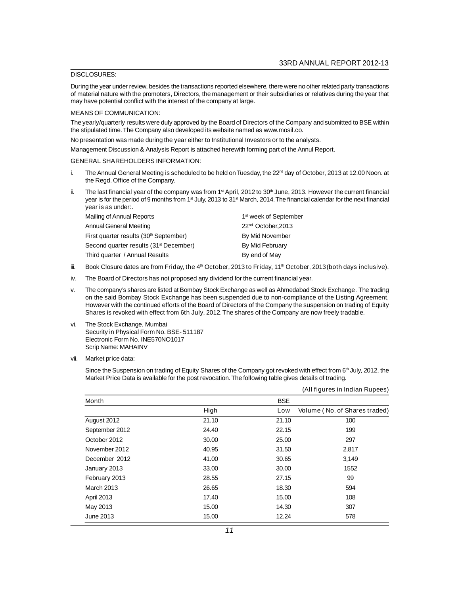# **DISCLOSURES:**

**During the year under review, besides the transactions reported elsewhere, there were no other related party transactions of material nature with the promoters, Directors, the management or their subsidiaries or relatives during the year that may have potential conflict with the interest of the company at large.**

#### **MEANS OF COMMUNICATION:**

**The yearly/quarterly results were duly approved by the Board of Directors of the Company and submitted to BSE within the stipulated time. The Company also developed its website named as www.mosil.co.**

**No presentation was made during the year either to Institutional Investors or to the analysts.**

**Management Discussion & Analysis Report is attached herewith forming part of the Annul Report.**

#### **GENERAL SHAREHOLDERS INFORMATION:**

- i. The Annual General Meeting is scheduled to be held on Tuesday, the 22<sup>nd</sup> day of October, 2013 at 12.00 Noon. at **the Regd. Office of the Company.**
- **ii. The last financial year of the company was from 1st April, 2012 to 30th June, 2013. However the current financial year is for the period of 9 months from 1st July, 2013 to 31st March, 2014. The financial calendar for the next financial year is as under:.**

| Mailing of Annual Reports                          | 1 <sup>st</sup> week of September |
|----------------------------------------------------|-----------------------------------|
| Annual General Meeting                             | 22 <sup>nd</sup> October, 2013    |
| First quarter results (30 <sup>th</sup> September) | By Mid November                   |
| Second quarter results (31 <sup>st</sup> December) | By Mid February                   |
| Third quarter / Annual Results                     | By end of May                     |
|                                                    |                                   |

- **iii. Book Closure dates are from Friday, the 4th October, 2013 to Friday, 11th October, 2013(both days inclusive).**
- **iv. The Board of Directors has not proposed any dividend for the current financial year.**
- **v. The company's shares are listed at Bombay Stock Exchange as well as Ahmedabad Stock Exchange . The trading on the said Bombay Stock Exchange has been suspended due to non-compliance of the Listing Agreement, However with the continued efforts of the Board of Directors of the Company the suspension on trading of Equity Shares is revoked with effect from 6th July, 2012. The shares of the Company are now freely tradable.**
- **vi. The Stock Exchange, Mumbai Security in Physical Form No. BSE- 511187 Electronic Form No. INE570NO1017 Scrip Name: MAHAINV**
- **vii. Market price data:**

**Since the Suspension on trading of Equity Shares of the Company got revoked with effect from 6th July, 2012, the Market Price Data is available for the post revocation. The following table gives details of trading.**

|                   |       |            | (All figures in Indian Rupees) |
|-------------------|-------|------------|--------------------------------|
| Month             |       | <b>BSE</b> |                                |
|                   | High  | Low        | Volume (No. of Shares traded)  |
| August 2012       | 21.10 | 21.10      | 100                            |
| September 2012    | 24.40 | 22.15      | 199                            |
| October 2012      | 30.00 | 25.00      | 297                            |
| November 2012     | 40.95 | 31.50      | 2,817                          |
| December 2012     | 41.00 | 30.65      | 3,149                          |
| January 2013      | 33.00 | 30.00      | 1552                           |
| February 2013     | 28.55 | 27.15      | 99                             |
| <b>March 2013</b> | 26.65 | 18.30      | 594                            |
| April 2013        | 17.40 | 15.00      | 108                            |
| May 2013          | 15.00 | 14.30      | 307                            |
| June 2013         | 15.00 | 12.24      | 578                            |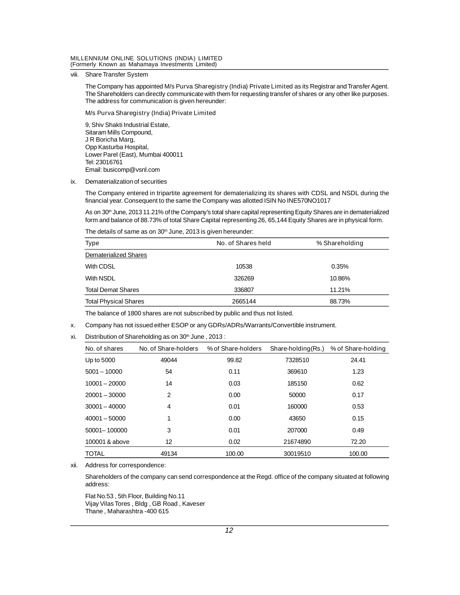# **MILLENNIUM ONLINE SOLUTIONS (INDIA) LIMITED**

**(Formerly Known as Mahamaya Investments Limited)**

**viii. Share Transfer System**

**The Company has appointed M/s Purva Sharegistry (India) Private Limited as its Registrar and Transfer Agent. The Shareholders can directly communicate with them for requesting transfer of shares or any other like purposes. The address for communication is given hereunder:**

#### **M/s Purva Sharegistry (India) Private Limited**

**9, Shiv Shakti Industrial Estate, Sitaram Mills Compound, J R Boricha Marg, Opp Kasturba Hospital, Lower Parel (East), Mumbai 400011 Tel: 23016761 Email: busicomp@vsnl.com**

**ix. Dematerialization of securities**

**The Company entered in tripartite agreement for dematerializing its shares with CDSL and NSDL during the financial year. Consequent to the same the Company was allotted ISIN No INE570NO1017**

**As on 30th June, 2013 11.21% of the Company's total share capital representing Equity Shares are in dematerialized form and balance of 88.73% of total Share Capital representing 26, 65,144 Equity Shares are in physical form.**

**The details of same as on 30th June, 2013 is given hereunder:**

| <b>Type</b>                  | No. of Shares held | % Shareholding |  |
|------------------------------|--------------------|----------------|--|
| <b>Dematerialized Shares</b> |                    |                |  |
| With CDSL                    | 10538              | 0.35%          |  |
| With NSDL                    | 326269             | 10.86%         |  |
| <b>Total Demat Shares</b>    | 336807             | 11.21%         |  |
| <b>Total Physical Shares</b> | 2665144            | 88.73%         |  |

**The balance of 1800 shares are not subscribed by public and thus not listed.**

**x. Company has not issued either ESOP or any GDRs/ADRs/Warrants/Convertible instrument.**

**xi. Distribution of Shareholding as on 30th June , 2013 :**

| No. of shares   | No. of Share-holders | % of Share-holders | Share-holding(Rs.) | % of Share-holding |
|-----------------|----------------------|--------------------|--------------------|--------------------|
| Up to 5000      | 49044                | 99.82              | 7328510            | 24.41              |
| $5001 - 10000$  | 54                   | 0.11               | 369610             | 1.23               |
| $10001 - 20000$ | 14                   | 0.03               | 185150             | 0.62               |
| $20001 - 30000$ | 2                    | 0.00               | 50000              | 0.17               |
| $30001 - 40000$ | 4                    | 0.01               | 160000             | 0.53               |
| $40001 - 50000$ | 1                    | 0.00               | 43650              | 0.15               |
| 50001-100000    | 3                    | 0.01               | 207000             | 0.49               |
| 100001 & above  | 12                   | 0.02               | 21674890           | 72.20              |
| <b>TOTAL</b>    | 49134                | 100.00             | 30019510           | 100.00             |

**xii. Address for correspondence:**

**Shareholders of the company can send correspondence at the Regd. office of the company situated at following address:**

**Flat No.53 , 5th Floor, Building No.11 Vijay Vilas Tores , Bldg , GB Road , Kaveser Thane , Maharashtra -400 615**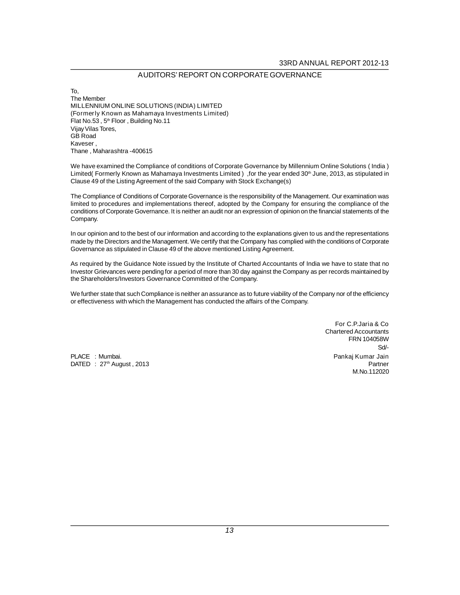# **AUDITORS' REPORT ON CORPORATE GOVERNANCE**

**To, The Member MILLENNIUM ONLINE SOLUTIONS (INDIA) LIMITED (Formerly Known as Mahamaya Investments Limited) Flat No.53 , 5th Floor , Building No.11 Vijay Vilas Tores, GB Road Kaveser , Thane , Maharashtra -400615**

**We have examined the Compliance of conditions of Corporate Governance by Millennium Online Solutions ( India ) Limited( Formerly Known as Mahamaya Investments Limited ) ,for the year ended 30th June, 2013, as stipulated in Clause 49 of the Listing Agreement of the said Company with Stock Exchange(s)**

**The Compliance of Conditions of Corporate Governance is the responsibility of the Management. Our examination was limited to procedures and implementations thereof, adopted by the Company for ensuring the compliance of the conditions of Corporate Governance. It is neither an audit nor an expression of opinion on the financial statements of the Company.**

**In our opinion and to the best of our information and according to the explanations given to us and the representations made by the Directors and the Management. We certify that the Company has complied with the conditions of Corporate Governance as stipulated in Clause 49 of the above mentioned Listing Agreement.**

**As required by the Guidance Note issued by the Institute of Charted Accountants of India we have to state that no Investor Grievances were pending for a period of more than 30 day against the Company as per records maintained by the Shareholders/Investors Governance Committed of the Company.**

**We further state that such Compliance is neither an assurance as to future viability of the Company nor of the efficiency or effectiveness with which the Management has conducted the affairs of the Company.**

**PLACE : Mumbai. Pankaj Kumar Jain DATED : 27th August , 2013 Partner**

**For C.P.Jaria & Co Chartered Accountants FRN 104058W Sd/- M.No.112020**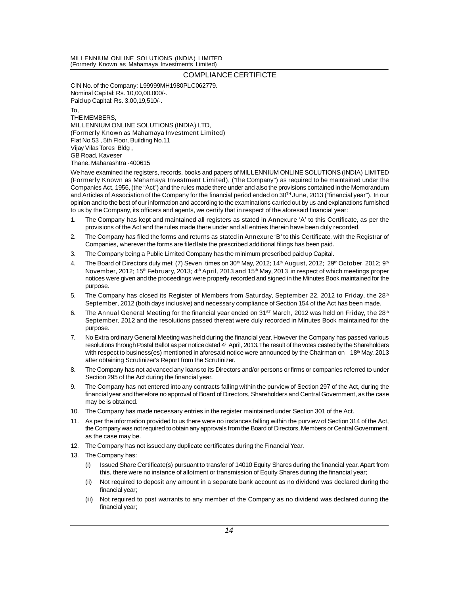# **MILLENNIUM ONLINE SOLUTIONS (INDIA) LIMITED**

**(Formerly Known as Mahamaya Investments Limited)**

# **COMPLIANCE CERTIFICTE**

**CIN No. of the Company: L99999MH1980PLC062779. Nominal Capital: Rs. 10,00,00,000/-. Paid up Capital: Rs. 3,00,19,510/-.**

**To, THE MEMBERS, MILLENNIUM ONLINE SOLUTIONS (INDIA) LTD, (Formerly Known as Mahamaya Investment Limited) Flat No.53 , 5th Floor, Building No.11 Vijay Vilas Tores Bldg , GB Road, Kaveser Thane, Maharashtra -400615**

**We have examined the registers, records, books and papers of MILLENNIUM ONLINE SOLUTIONS (INDIA) LIMITED (Formerly Known as Mahamaya Investment Limited), ("the Company") as required to be maintained under the Companies Act, 1956, (the "Act") and the rules made there under and also the provisions contained in the Memorandum and Articles of Association of the Company for the financial period ended on 30TH June, 2013 ("financial year"). In our opinion and to the best of our information and according to the examinations carried out by us and explanations furnished to us by the Company, its officers and agents, we certify that in respect of the aforesaid financial year:**

- **1. The Company has kept and maintained all registers as stated in Annexure 'A' to this Certificate, as per the provisions of the Act and the rules made there under and all entries therein have been duly recorded.**
- **2. The Company has filed the forms and returns as stated in Annexure 'B' to this Certificate, with the Registrar of Companies, wherever the forms are filed late the prescribed additional filings has been paid.**
- **3. The Company being a Public Limited Company has the minimum prescribed paid up Capital.**
- **4. The Board of Directors duly met (7) Seven times on 30th May, 2012; 14th August, 2012; 29th October, 2012; 9th November, 2012; 15th February, 2013; 4th April, 2013 and 15th May, 2013 in respect of which meetings proper notices were given and the proceedings were properly recorded and signed in the Minutes Book maintained for the purpose.**
- **5. The Company has closed its Register of Members from Saturday, September 22, 2012 to Friday, the 28th September, 2012 (both days inclusive) and necessary compliance of Section 154 of the Act has been made.**
- **6. The Annual General Meeting for the financial year ended on 31ST March, 2012 was held on Friday, the 28th September, 2012 and the resolutions passed thereat were duly recorded in Minutes Book maintained for the purpose.**
- **7. No Extra ordinary General Meeting was held during the financial year. However the Company has passed various resolutions through Postal Ballot as per notice dated 4th April, 2013. The result of the votes casted by the Shareholders with respect to business(es) mentioned in aforesaid notice were announced by the Chairman on 18th May, 2013 after obtaining Scrutinizer's Report from the Scrutinizer.**
- **8. The Company has not advanced any loans to its Directors and/or persons or firms or companies referred to under Section 295 of the Act during the financial year.**
- **9. The Company has not entered into any contracts falling within the purview of Section 297 of the Act, during the financial year and therefore no approval of Board of Directors, Shareholders and Central Government, as the case may be is obtained.**
- **10. The Company has made necessary entries in the register maintained under Section 301 of the Act.**
- **11. As per the information provided to us there were no instances falling within the purview of Section 314 of the Act, the Company was not required to obtain any approvals from the Board of Directors, Members or Central Government, as the case may be.**
- **12. The Company has not issued any duplicate certificates during the Financial Year.**
- **13. The Company has:**
	- **(i) Issued Share Certificate(s) pursuant to transfer of 14010 Equity Shares during the financial year. Apart from this, there were no instance of allotment or transmission of Equity Shares during the financial year;**
	- **(ii) Not required to deposit any amount in a separate bank account as no dividend was declared during the financial year;**
	- **(iii) Not required to post warrants to any member of the Company as no dividend was declared during the financial year;**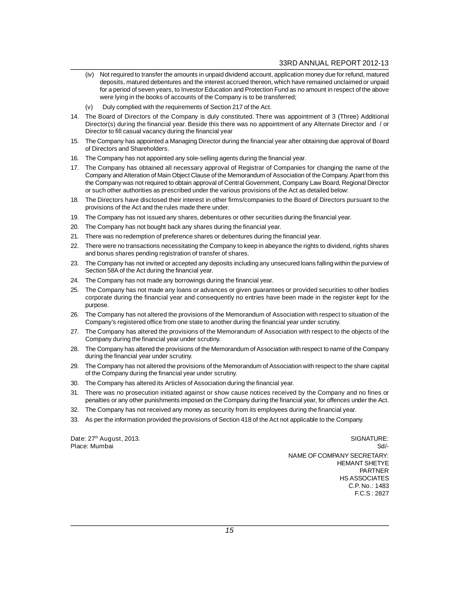- **(iv) Not required to transfer the amounts in unpaid dividend account, application money due for refund, matured deposits, matured debentures and the interest accrued thereon, which have remained unclaimed or unpaid for a period of seven years, to Investor Education and Protection Fund as no amount in respect of the above were lying in the books of accounts of the Company is to be transferred;**
- **(v) Duly complied with the requirements of Section 217 of the Act.**
- **14. The Board of Directors of the Company is duly constituted. There was appointment of 3 (Three) Additional Director(s) during the financial year. Beside this there was no appointment of any Alternate Director and / or Director to fill casual vacancy during the financial year**
- **15. The Company has appointed a Managing Director during the financial year after obtaining due approval of Board of Directors and Shareholders.**
- **16. The Company has not appointed any sole-selling agents during the financial year.**
- **17. The Company has obtained all necessary approval of Registrar of Companies for changing the name of the Company and Alteration of Main Object Clause of the Memorandum of Association of the Company. Apart from this the Company was not required to obtain approval of Central Government, Company Law Board, Regional Director or such other authorities as prescribed under the various provisions of the Act as detailed below:**
- **18. The Directors have disclosed their interest in other firms/companies to the Board of Directors pursuant to the provisions of the Act and the rules made there under.**
- **19. The Company has not issued any shares, debentures or other securities during the financial year.**
- **20. The Company has not bought back any shares during the financial year.**
- **21. There was no redemption of preference shares or debentures during the financial year.**
- **22. There were no transactions necessitating the Company to keep in abeyance the rights to dividend, rights shares and bonus shares pending registration of transfer of shares.**
- **23. The Company has not invited or accepted any deposits including any unsecured loans falling within the purview of Section 58A of the Act during the financial year.**
- **24. The Company has not made any borrowings during the financial year.**
- **25. The Company has not made any loans or advances or given guarantees or provided securities to other bodies corporate during the financial year and consequently no entries have been made in the register kept for the purpose.**
- **26. The Company has not altered the provisions of the Memorandum of Association with respect to situation of the Company's registered office from one state to another during the financial year under scrutiny.**
- **27. The Company has altered the provisions of the Memorandum of Association with respect to the objects of the Company during the financial year under scrutiny.**
- **28. The Company has altered the provisions of the Memorandum of Association with respect to name of the Company during the financial year under scrutiny.**
- **29. The Company has not altered the provisions of the Memorandum of Association with respect to the share capital of the Company during the financial year under scrutiny.**
- **30. The Company has altered its Articles of Association during the financial year.**
- **31. There was no prosecution initiated against or show cause notices received by the Company and no fines or penalties or any other punishments imposed on the Company during the financial year, for offences under the Act.**
- **32. The Company has not received any money as security from its employees during the financial year.**
- **33. As per the information provided the provisions of Section 418 of the Act not applicable to the Company.**

**Date: 27th August, 2013. SIGNATURE: Place: Mumbai Sd/- NAME OF COMPANY SECRETARY: HEMANT SHETYE PARTNER HS ASSOCIATES C.P. No.: 1483 F.C.S : 2827**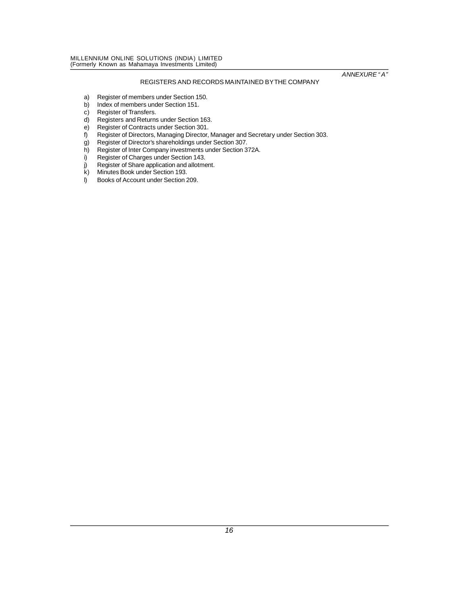# **REGISTERS AND RECORDS MAINTAINED BY THE COMPANY**

- **a) Register of members under Section 150.**
- **b) Index of members under Section 151.**
- **c) Register of Transfers.**
- **d) Registers and Returns under Section 163.**
- **e) Register of Contracts under Section 301.**
- **f) Register of Directors, Managing Director, Manager and Secretary under Section 303.**
- **g) Register of Director's shareholdings under Section 307.**
- **h) Register of Inter Company investments under Section 372A.**
- **i) Register of Charges under Section 143.**
- **j) Register of Share application and allotment.**
- **k) Minutes Book under Section 193.**
- **l) Books of Account under Section 209.**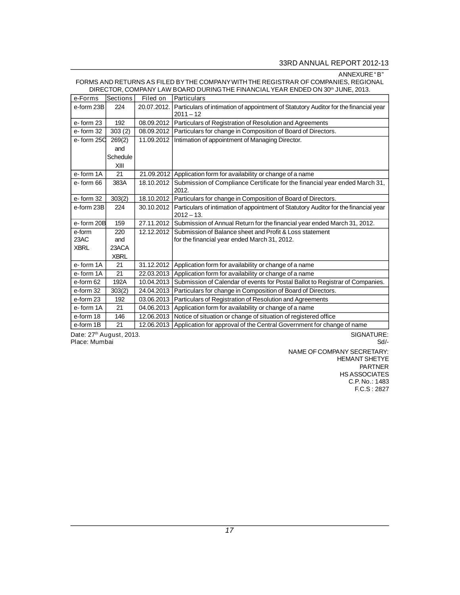# **33RD ANNUAL REPORT 2012-13**

# **ANNEXURE "B"**

# **FORMS AND RETURNS AS FILED BY THE COMPANY WITH THE REGISTRAR OF COMPANIES, REGIONAL DIRECTOR, COMPANY LAW BOARD DURING THE FINANCIAL YEAR ENDED ON 30th JUNE, 2013.**

| e-Forms     | <b>Sections</b> | Filed on    | <b>Particulars</b>                                                                                   |
|-------------|-----------------|-------------|------------------------------------------------------------------------------------------------------|
| e-form 23B  | 224             | 20.07.2012. | Particulars of intimation of appointment of Statutory Auditor for the financial year<br>$2011 - 12$  |
| e-form 23   | 192             |             | 08.09.2012   Particulars of Registration of Resolution and Agreements                                |
| e-form 32   | 303(2)          | 08.09.2012  | Particulars for change in Composition of Board of Directors.                                         |
| e-form 25C  | 269(2)          | 11.09.2012  | Intimation of appointment of Managing Director.                                                      |
|             | and             |             |                                                                                                      |
|             | Schedule        |             |                                                                                                      |
|             | XIII            |             |                                                                                                      |
| e-form 1A   | 21              |             | 21.09.2012 Application form for availability or change of a name                                     |
| e-form 66   | 383A            | 18.10.2012  | Submission of Compliance Certificate for the financial year ended March 31,<br>2012.                 |
| e-form 32   | 303(2)          |             | 18.10.2012 Particulars for change in Composition of Board of Directors.                              |
| e-form 23B  | 224             | 30.10.2012  | Particulars of intimation of appointment of Statutory Auditor for the financial year<br>$2012 - 13.$ |
| e-form 20B  | 159             |             | 27.11.2012 Submission of Annual Return for the financial year ended March 31, 2012.                  |
| e-form      | 220             |             | 12.12.2012 Submission of Balance sheet and Profit & Loss statement                                   |
| 23AC        | and             |             | for the financial year ended March 31, 2012.                                                         |
| <b>XBRL</b> | 23ACA           |             |                                                                                                      |
|             | <b>XBRL</b>     |             |                                                                                                      |
| e-form 1A   | 21              | 31.12.2012  | Application form for availability or change of a name                                                |
| e-form 1A   | 21              | 22.03.2013  | Application form for availability or change of a name                                                |
| e-form 62   | 192A            | 10.04.2013  | Submission of Calendar of events for Postal Ballot to Registrar of Companies.                        |
| e-form 32   | 303(2)          | 24.04.2013  | Particulars for change in Composition of Board of Directors.                                         |
| e-form 23   | 192             | 03.06.2013  | Particulars of Registration of Resolution and Agreements                                             |
| e-form 1A   | 21              | 04.06.2013  | Application form for availability or change of a name                                                |
| e-form 18   | 146             | 12.06.2013  | Notice of situation or change of situation of registered office                                      |
| e-form 1B   | 21              | 12.06.2013  | Application for approval of the Central Government for change of name                                |

**Date: 27th August, 2013. SIGNATURE: Place: Mumbai Sd/-**

# **NAME OF COMPANY SECRETARY: HEMANT SHETYE PARTNER HS ASSOCIATES C.P. No.: 1483 F.C.S : 2827**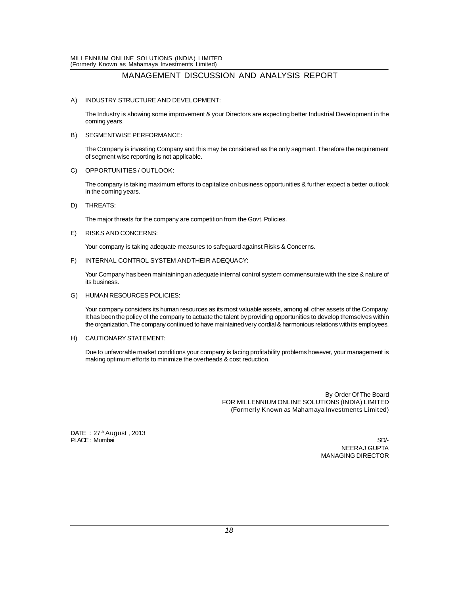# **MANAGEMENT DISCUSSION AND ANALYSIS REPORT**

# **A) INDUSTRY STRUCTURE AND DEVELOPMENT:**

**The Industry is showing some improvement & your Directors are expecting better Industrial Development in the coming years.**

# **B) SEGMENTWISE PERFORMANCE:**

**The Company is investing Company and this may be considered as the only segment. Therefore the requirement of segment wise reporting is not applicable.**

# **C) OPPORTUNITIES / OUTLOOK:**

**The company is taking maximum efforts to capitalize on business opportunities & further expect a better outlook in the coming years.**

# **D) THREATS:**

**The major threats for the company are competition from the Govt. Policies.**

# **E) RISKS AND CONCERNS:**

**Your company is taking adequate measures to safeguard against Risks & Concerns.**

# **F) INTERNAL CONTROL SYSTEM AND THEIR ADEQUACY:**

**Your Company has been maintaining an adequate internal control system commensurate with the size & nature of its business.**

# **G) HUMAN RESOURCES POLICIES:**

**Your company considers its human resources as its most valuable assets, among all other assets of the Company. It has been the policy of the company to actuate the talent by providing opportunities to develop themselves within the organization. The company continued to have maintained very cordial & harmonious relations with its employees.**

# **H) CAUTIONARY STATEMENT:**

**Due to unfavorable market conditions your company is facing profitability problems however, your management is making optimum efforts to minimize the overheads & cost reduction.**

> **By Order Of The Board FOR MILLENNIUM ONLINE SOLUTIONS (INDIA) LIMITED (Formerly Known as Mahamaya Investments Limited)**

**DATE : 27th August , 2013** PLACE: **Mumbai** SD/-

**NEERAJ GUPTA MANAGING DIRECTOR**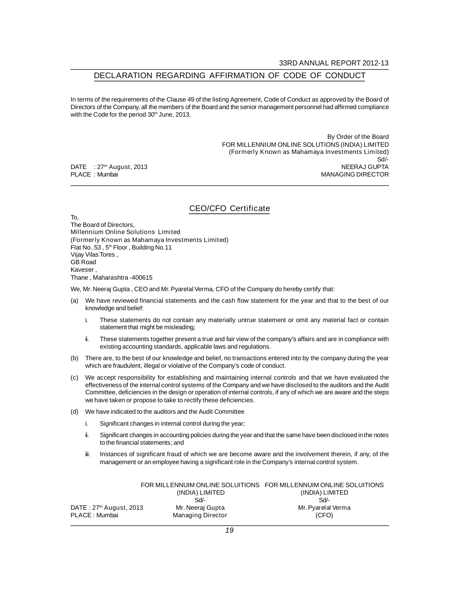# **DECLARATION REGARDING AFFIRMATION OF CODE OF CONDUCT**

**In terms of the requirements of the Clause 49 of the listing Agreement, Code of Conduct as approved by the Board of Directors of the Company, all the members of the Board and the senior management personnel had affirmed compliance with the Code for the period 30th June, 2013.**

 **By Order of the Board FOR MILLENNIUM ONLINE SOLUTIONS (INDIA) LIMITED (Formerly Known as Mahamaya Investments Limited) Sd/-**<br>NEERAJ GUPTA **PLACE : Mumbai MANAGING DIRECTOR**

 $DATE$  : 27<sup>th</sup> August, 2013

# **CEO/CFO Certificate**

**To, The Board of Directors, Millennium Online Solutions Limited (Formerly Known as Mahamaya Investments Limited) Flat No..53 , 5th Floor , Building No.11 Vijay Vilas Tores , GB Road Kaveser , Thane , Maharashtra -400615**

**We, Mr. Neeraj Gupta , CEO and Mr. Pyarelal Verma, CFO of the Company do hereby certify that:**

- **(a) We have reviewed financial statements and the cash flow statement for the year and that to the best of our knowledge and belief:**
	- **i. These statements do not contain any materially untrue statement or omit any material fact or contain statement that might be misleading;**
	- **ii. These statements together present a true and fair view of the company's affairs and are in compliance with existing accounting standards, applicable laws and regulations.**
- **(b) There are, to the best of our knowledge and belief, no transactions entered into by the company during the year which are fraudulent, illegal or violative of the Company's code of conduct.**
- **(c) We accept responsibility for establishing and maintaining internal controls and that we have evaluated the effectiveness of the internal control systems of the Company and we have disclosed to the auditors and the Audit Committee, deficiencies in the design or operation of internal controls, if any of which we are aware and the steps we have taken or propose to take to rectify these deficiencies.**
- **(d) We have indicated to the auditors and the Audit Committee**
	- **i. Significant changes in internal control during the year;**
	- **ii. Significant changes in accounting policies during the year and that the same have been disclosed in the notes to the financial statements; and**
	- **iii. Instances of significant fraud of which we are become aware and the involvement therein, if any, of the management or an employee having a significant role in the Company's internal control system.**

|                         |                          | FOR MILLENNUIM ONLINE SOLUITIONS FOR MILLENNUIM ONLINE SOLUITIONS |
|-------------------------|--------------------------|-------------------------------------------------------------------|
|                         | (INDIA) LIMITED          | (INDIA) LIMITED                                                   |
|                         | Sd                       | Sd                                                                |
| DATE: 27th August, 2013 | Mr. Neeraj Gupta         | Mr. Pyarelal Verma                                                |
| <b>PLACE:</b> Mumbai    | <b>Managing Director</b> | (CFO)                                                             |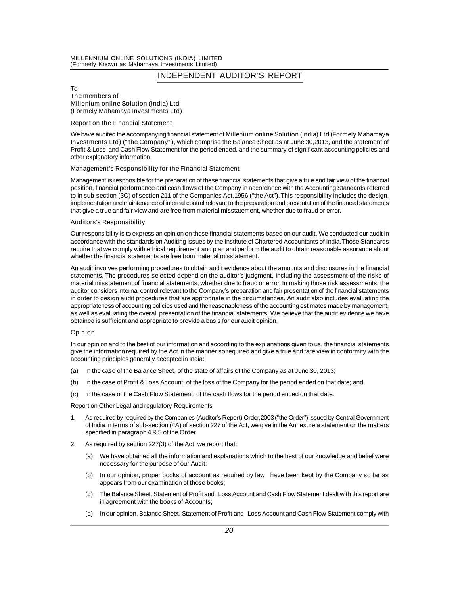#### **MILLENNIUM ONLINE SOLUTIONS (INDIA) LIMITED (Formerly Known as Mahamaya Investments Limited)**

**INDEPENDENT AUDITOR'S REPORT**

#### **To The members of Millenium online Solution (India) Ltd (Formely Mahamaya Investments Ltd)**

# **Report on the Financial Statement**

**We have audited the accompanying financial statement of Millenium online Solution (India) Ltd (Formely Mahamaya Investments Ltd) ("the Company"), which comprise the Balance Sheet as at June 30,2013, and the statement of Profit & Loss and Cash Flow Statement for the period ended, and the summary of significant accounting policies and other explanatory information.**

# **Management's Responsibility for the Financial Statement**

**Management is responsible for the preparation of these financial statements that give a true and fair view of the financial position, financial performance and cash flows of the Company in accordance with the Accounting Standards referred to in sub-section (3C) of section 211 of the Companies Act,1956 ("the Act"). This responsibility includes the design, implementation and maintenance of internal control relevant to the preparation and presentation of the financial statements that give a true and fair view and are free from material misstatement, whether due to fraud or error.**

#### **Auditors's Responsibility**

**Our responsibility is to express an opinion on these financial statements based on our audit. We conducted our audit in accordance with the standards on Auditing issues by the Institute of Chartered Accountants of India. Those Standards require that we comply with ethical requirement and plan and perform the audit to obtain reasonable assurance about whether the financial statements are free from material misstatement.**

**An audit involves performing procedures to obtain audit evidence about the amounts and disclosures in the financial statements. The procedures selected depend on the auditor's judgment, including the assessment of the risks of material misstatement of financial statements, whether due to fraud or error. In making those risk assessments, the auditor considers internal control relevant to the Company's preparation and fair presentation of the financial statements in order to design audit procedures that are appropriate in the circumstances. An audit also includes evaluating the appropriateness of accounting policies used and the reasonableness of the accounting estimates made by management, as well as evaluating the overall presentation of the financial statements. We believe that the audit evidence we have obtained is sufficient and appropriate to provide a basis for our audit opinion.**

# **Opinion**

**In our opinion and to the best of our information and according to the explanations given to us, the financial statements give the information required by the Act in the manner so required and give a true and fare view in conformity with the accounting principles generally accepted in India:**

- **(a) In the case of the Balance Sheet, of the state of affairs of the Company as at June 30, 2013;**
- **(b) In the case of Profit & Loss Account, of the loss of the Company for the period ended on that date; and**
- **(c) In the case of the Cash Flow Statement, of the cash flows for the period ended on that date.**

**Report on Other Legal and regulatory Requirements**

- **1. As required by required by the Companies (Auditor's Report) Order,2003 ("the Order") issued by Central Government of India in terms of sub-section (4A) of section 227 of the Act, we give in the Annexure a statement on the matters specified in paragraph 4 & 5 of the Order.**
- **2. As required by section 227(3) of the Act, we report that:**
	- **(a) We have obtained all the information and explanations which to the best of our knowledge and belief were necessary for the purpose of our Audit;**
	- **(b) In our opinion, proper books of account as required by law have been kept by the Company so far as appears from our examination of those books;**
	- **(c) The Balance Sheet, Statement of Profit and Loss Account and Cash Flow Statement dealt with this report are in agreement with the books of Accounts;**
	- **(d) In our opinion, Balance Sheet, Statement of Profit and Loss Account and Cash Flow Statement comply with**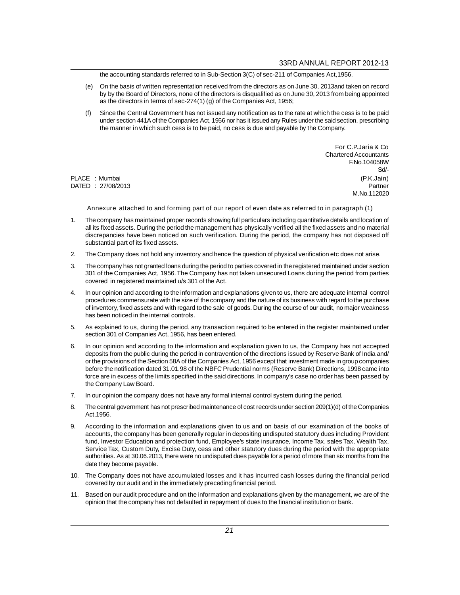**the accounting standards referred to in Sub-Section 3(C) of sec-211 of Companies Act,1956.**

- **(e) On the basis of written representation received from the directors as on June 30, 2013and taken on record by by the Board of Directors, none of the directors is disqualified as on June 30, 2013 from being appointed as the directors in terms of sec-274(1) (g) of the Companies Act, 1956;**
- **(f) Since the Central Government has not issued any notification as to the rate at which the cess is to be paid under section 441A of the Companies Act, 1956 nor has it issued any Rules under the said section, prescribing the manner in which such cess is to be paid, no cess is due and payable by the Company.**

**For C.P.Jaria & Co Chartered Accountants F.No.104058W Sd/- PLACE : Mumbai (P.K.Jain) DATED : 27/08/2013 Partner M.No.112020**

# **Annexure attached to and forming part of our report of even date as referred to in paragraph (1)**

- **1. The company has maintained proper records showing full particulars including quantitative details and location of all its fixed assets. During the period the management has physically verified all the fixed assets and no material discrepancies have been noticed on such verification. During the period, the company has not disposed off substantial part of its fixed assets.**
- **2. The Company does not hold any inventory and hence the question of physical verification etc does not arise.**
- **3. The company has not granted loans during the period to parties covered in the registered maintained under section 301 of the Companies Act, 1956. The Company has not taken unsecured Loans during the period from parties covered in registered maintained u/s 301 of the Act.**
- **4. In our opinion and according to the information and explanations given to us, there are adequate internal control procedures commensurate with the size of the company and the nature of its business with regard to the purchase of inventory, fixed assets and with regard to the sale of goods. During the course of our audit, no major weakness has been noticed in the internal controls.**
- **5. As explained to us, during the period, any transaction required to be entered in the register maintained under section 301 of Companies Act, 1956, has been entered.**
- **6. In our opinion and according to the information and explanation given to us, the Company has not accepted deposits from the public during the period in contravention of the directions issued by Reserve Bank of India and/ or the provisions of the Section 58A of the Companies Act, 1956 except that investment made in group companies before the notification dated 31.01.98 of the NBFC Prudential norms (Reserve Bank) Directions, 1998 came into force are in excess of the limits specified in the said directions. In company's case no order has been passed by the Company Law Board.**
- **7. In our opinion the company does not have any formal internal control system during the period.**
- **8. The central government has not prescribed maintenance of cost records under section 209(1)(d) of the Companies Act,1956.**
- **9. According to the information and explanations given to us and on basis of our examination of the books of accounts, the company has been generally regular in depositing undisputed statutory dues including Provident fund, Investor Education and protection fund, Employee's state insurance, Income Tax, sales Tax, Wealth Tax, Service Tax, Custom Duty, Excise Duty, cess and other statutory dues during the period with the appropriate authorities. As at 30.06.2013, there were no undisputed dues payable for a period of more than six months from the date they become payable.**
- **10. The Company does not have accumulated losses and it has incurred cash losses during the financial period covered by our audit and in the immediately preceding financial period.**
- **11. Based on our audit procedure and on the information and explanations given by the management, we are of the opinion that the company has not defaulted in repayment of dues to the financial institution or bank.**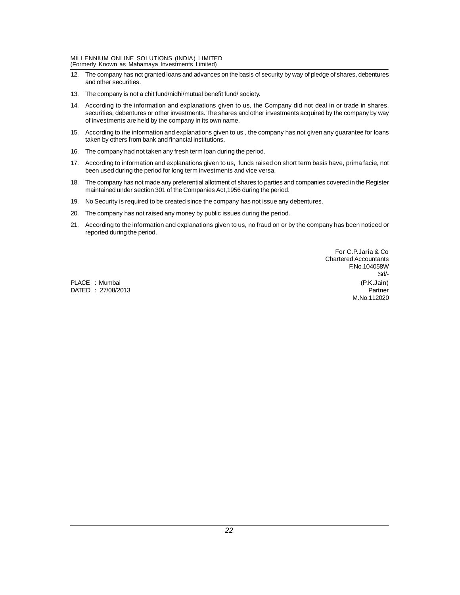# **MILLENNIUM ONLINE SOLUTIONS (INDIA) LIMITED**

**(Formerly Known as Mahamaya Investments Limited)**

- **12. The company has not granted loans and advances on the basis of security by way of pledge of shares, debentures and other securities.**
- **13. The company is not a chit fund/nidhi/mutual benefit fund/ society.**
- **14. According to the information and explanations given to us, the Company did not deal in or trade in shares, securities, debentures or other investments. The shares and other investments acquired by the company by way of investments are held by the company in its own name.**
- **15. According to the information and explanations given to us , the company has not given any guarantee for loans taken by others from bank and financial institutions.**
- **16. The company had not taken any fresh term loan during the period.**
- **17. According to information and explanations given to us, funds raised on short term basis have, prima facie, not been used during the period for long term investments and vice versa.**
- **18. The company has not made any preferential allotment of shares to parties and companies covered in the Register maintained under section 301 of the Companies Act,1956 during the period.**
- **19. No Security is required to be created since the company has not issue any debentures.**
- **20. The company has not raised any money by public issues during the period.**
- **21. According to the information and explanations given to us, no fraud on or by the company has been noticed or reported during the period.**

**For C.P.Jaria & Co Chartered Accountants F.No.104058W Sd/- PLACE : Mumbai (P.K.Jain) DATED : 27/08/2013 Partner M.No.112020**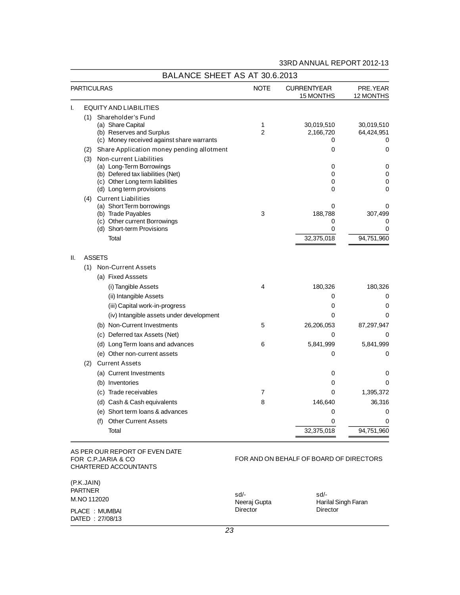| 33RD ANNUAL REPORT 2012-13 |  |
|----------------------------|--|

|     | <b>PARTICULRAS</b>                                                                                                                                          | <b>NOTE</b>         | <b>CURRENTYEAR</b><br><b>15 MONTHS</b>         | PRE.YEAR<br>12 MONTHS                       |
|-----|-------------------------------------------------------------------------------------------------------------------------------------------------------------|---------------------|------------------------------------------------|---------------------------------------------|
| ı.  | <b>EQUITY AND LIABILITIES</b>                                                                                                                               |                     |                                                |                                             |
|     | (1) Shareholder's Fund<br>(a) Share Capital<br>(b) Reserves and Surplus<br>(c) Money received against share warrants                                        | 1<br>$\overline{2}$ | 30,019,510<br>2,166,720<br>0                   | 30,019,510<br>64,424,951<br>0               |
|     | (2) Share Application money pending allotment                                                                                                               |                     | 0                                              | 0                                           |
|     | (3) Non-current Liabilities<br>(a) Long-Term Borrowings<br>(b) Defered tax liabilities (Net)<br>(c) Other Long term liabilities<br>(d) Long term provisions |                     | 0<br>0<br>0<br>0                               | 0<br>0<br>0<br>0                            |
|     | (4) Current Liabilities<br>(a) Short Term borrowings<br>(b) Trade Payables<br>(c) Other current Borrowings<br>(d) Short-term Provisions<br>Total            | 3                   | 0<br>188,788<br>0<br>$\mathbf 0$<br>32,375,018 | 0<br>307,499<br>0<br>$\Omega$<br>94,751,960 |
| II. | <b>ASSETS</b>                                                                                                                                               |                     |                                                |                                             |
|     | (1) Non-Current Assets                                                                                                                                      |                     |                                                |                                             |
|     | (a) Fixed Asssets                                                                                                                                           |                     |                                                |                                             |
|     | (i) Tangible Assets                                                                                                                                         | 4                   | 180,326                                        | 180,326                                     |
|     | (ii) Intangible Assets                                                                                                                                      |                     | 0                                              | 0                                           |
|     | (iii) Capital work-in-progress                                                                                                                              |                     | 0                                              | 0                                           |
|     | (iv) Intangible assets under development                                                                                                                    |                     | $\Omega$                                       | 0                                           |
|     | (b) Non-Current Investments                                                                                                                                 | 5                   | 26,206,053                                     | 87,297,947                                  |
|     | (c) Deferred tax Assets (Net)                                                                                                                               |                     | 0                                              | 0                                           |
|     | (d) Long Term loans and advances                                                                                                                            | 6                   | 5,841,999                                      | 5,841,999                                   |
|     | (e) Other non-current assets                                                                                                                                |                     | 0                                              | 0                                           |
|     | (2) Current Assets                                                                                                                                          |                     |                                                |                                             |
|     | (a) Current Investments                                                                                                                                     |                     | 0                                              | 0                                           |
|     | (b) Inventories                                                                                                                                             |                     | 0                                              | 0                                           |
|     | (c) Trade receivables                                                                                                                                       | 7                   | $\Omega$                                       | 1,395,372                                   |
|     | (d) Cash & Cash equivalents                                                                                                                                 | 8                   | 146,640                                        | 36,316                                      |
|     | (e) Short term loans & advances                                                                                                                             |                     | 0                                              | 0                                           |
|     | (f) Other Current Assets                                                                                                                                    |                     | 0                                              | 0                                           |
|     | Total                                                                                                                                                       |                     | 32,375,018                                     | 94,751,960                                  |

# **FOR C.P.JARIA & CO CHARTERED ACCOUNTANTS**

# **FOR AND ON BEHALF OF BOARD OF DIRECTORS**

| (P.K.JAIN)         |              |                     |
|--------------------|--------------|---------------------|
| PARTNER            | sd/-         | sd/-                |
| <b>M.NO 112020</b> | Neeraj Gupta | Harilal Singh Faran |
| PLACE : MUMBAI     | Director     | Director            |
| DATED: 27/08/13    |              |                     |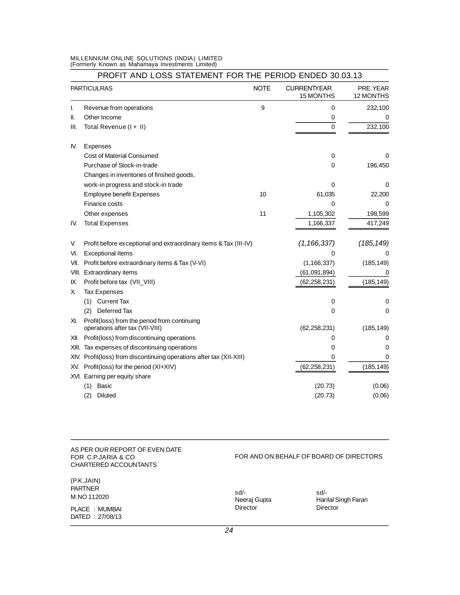# **MILLENNIUM ONLINE SOLUTIONS (INDIA) LIMITED (Formerly Known as Mahamaya Investments Limited)**

|       | <b>PARTICULRAS</b>                                                              | <b>NOTE</b> | <b>CURRENTYEAR</b><br>15 MONTHS | PRE.YEAR<br>12 MONTHS |
|-------|---------------------------------------------------------------------------------|-------------|---------------------------------|-----------------------|
| L     | Revenue from operations                                                         | 9           | 0                               | 232,100               |
| II.   | Other Income                                                                    |             | 0                               | 0                     |
| III.  | Total Revenue (I + II)                                                          |             | $\Omega$                        | 232,100               |
| IV.   | <b>Expenses</b>                                                                 |             |                                 |                       |
|       | Cost of Material Consumed                                                       |             | 0                               | 0                     |
|       | Purchase of Stock-in-trade                                                      |             | 0                               | 196,450               |
|       | Changes in inventories of finshed goods,                                        |             |                                 |                       |
|       | work-in progress and stock-in trade                                             |             | 0                               | 0                     |
|       | <b>Employee benefit Expenses</b>                                                | 10          | 61,035                          | 22,200                |
|       | Finance costs                                                                   |             | 0                               | 0                     |
|       | Other expenses                                                                  | 11          | 1,105,302                       | 198,599               |
| IV.   | <b>Total Expenses</b>                                                           |             | 1,166,337                       | 417,249               |
| V.    | Profit before exceptional and extraordinary items & Tax (III-IV)                |             | (1, 166, 337)                   | (185, 149)            |
| VI.   | <b>Exceptional Items</b>                                                        |             | 0                               |                       |
| VII.  | Profit before extraordinary items & Tax (V-VI)                                  |             | (1, 166, 337)                   | (185, 149)            |
| VIII. | Extraordinary items                                                             |             | (61,091,894)                    | 0                     |
| IX.   | Profit before tax (VII_VIII)                                                    |             | (62, 258, 231)                  | (185, 149)            |
| χ     | <b>Tax Expenses</b>                                                             |             |                                 |                       |
|       | (1) Current Tax                                                                 |             | $\mathbf 0$                     | 0                     |
|       | Deferred Tax<br>(2)                                                             |             | 0                               | 0                     |
| XI.   | Profit(loss) from the period from continuing<br>operations after tax (VII-VIII) |             | (62, 258, 231)                  | (185, 149)            |
| XII.  | Profit(loss) from discontinuing operations                                      |             | 0                               | 0                     |
| XIII. | Tax expenses of discontinuing operations                                        |             | 0                               | 0                     |
|       | XIV. Profit(loss) from discontinuing operations after tax (XII-XIII)            |             | 0                               | 0                     |
|       | XV. Profit(loss) for the period (XI+XIV)                                        |             | (62, 258, 231)                  | (185, 149)            |
|       | XVI. Earning per equity share                                                   |             |                                 |                       |
|       | Basic<br>(1)                                                                    |             | (20.73)                         | (0.06)                |
|       | (2)<br>Diluted                                                                  |             | (20.73)                         | (0.06)                |

# **AS PER OUR REPORT OF EVEN DATE FOR C.P.JARIA & CO CHARTERED ACCOUNTANTS**

# **(P.K.JAIN) PARTNER M.NO 112020**

**PLACE : MUMBAI DATED : 27/08/13**

# **FOR AND ON BEHALF OF BOARD OF DIRECTORS**

| sd/-         |
|--------------|
| Neeraj Gupta |
| Director     |

**sd/- sd/- Harilal Singh Faran Director Director**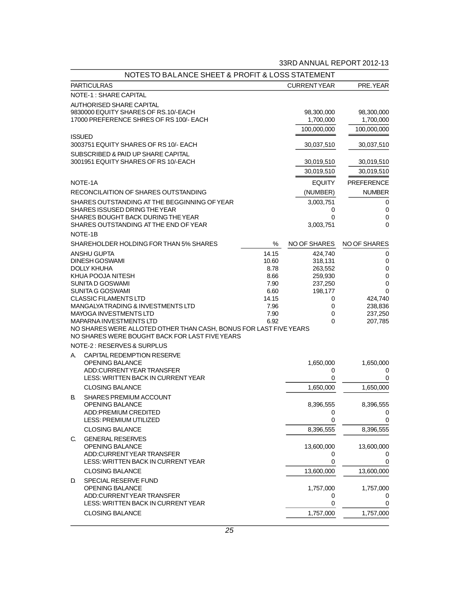|    | <b>NOTES TO BALANCE SHEET &amp; PROFIT &amp; LOSS STATEMENT</b>             |                |                     |                     |
|----|-----------------------------------------------------------------------------|----------------|---------------------|---------------------|
|    | <b>PARTICULRAS</b>                                                          |                | <b>CURRENTYEAR</b>  | PRE.YEAR            |
|    | <b>NOTE-1: SHARE CAPITAL</b>                                                |                |                     |                     |
|    | <b>AUTHORISED SHARE CAPITAL</b>                                             |                |                     |                     |
|    | 9830000 EQUITY SHARES OF RS.10/-EACH                                        |                | 98,300,000          | 98,300,000          |
|    | 17000 PREFERENCE SHRES OF RS 100/- EACH                                     |                | 1,700,000           | 1,700,000           |
|    |                                                                             |                | 100,000,000         | 100,000,000         |
|    | <b>ISSUED</b>                                                               |                |                     |                     |
|    | 3003751 EQUITY SHARES OF RS 10/- EACH                                       |                | 30,037,510          | 30,037,510          |
|    | SUBSCRIBED & PAID UP SHARE CAPITAL<br>3001951 EQUITY SHARES OF RS 10/-EACH  |                | 30,019,510          | 30,019,510          |
|    |                                                                             |                | 30,019,510          | 30,019,510          |
|    |                                                                             |                |                     |                     |
|    | <b>NOTE-1A</b>                                                              |                | <b>EQUITY</b>       | <b>PREFERENCE</b>   |
|    | RECONCILAITION OF SHARES OUTSTANDING                                        |                | (NUMBER)            | <b>NUMBER</b>       |
|    | SHARES OUTSTANDING AT THE BEGGINNING OF YEAR                                |                | 3,003,751           | 0                   |
|    | SHARES ISSUSED DRING THE YEAR                                               |                | 0                   | $\mathbf 0$         |
|    | SHARES BOUGHT BACK DURING THE YEAR<br>SHARES OUTSTANDING AT THE END OF YEAR |                | 0<br>3,003,751      | 0<br>$\mathbf 0$    |
|    | <b>NOTE-1B</b>                                                              |                |                     |                     |
|    |                                                                             |                |                     |                     |
|    | SHAREHOLDER HOLDING FOR THAN 5% SHARES                                      | ℅              | <b>NO OF SHARES</b> | <b>NO OF SHARES</b> |
|    | <b>ANSHU GUPTA</b><br><b>DINESH GOSWAMI</b>                                 | 14.15<br>10.60 | 424.740<br>318,131  | 0<br>0              |
|    | <b>DOLLY KHUHA</b>                                                          | 8.78           | 263,552             | 0                   |
|    | KHUA POOJA NITESH                                                           | 8.66           | 259,930             | 0                   |
|    | <b>SUNITA D GOSWAMI</b>                                                     | 7.90           | 237,250             | 0                   |
|    | <b>SUNITA G GOSWAMI</b>                                                     | 6.60           | 198,177             | 0                   |
|    | <b>CLASSIC FILAMENTS LTD</b>                                                | 14.15          | 0                   | 424,740             |
|    | MANGALYA TRADING & INVESTMENTS LTD                                          | 7.96           | 0                   | 238,836             |
|    | MAYOGA INVESTMENTS LTD<br>MAPARNA INVESTMENTS LTD                           | 7.90<br>6.92   | 0<br>0              | 237,250<br>207,785  |
|    | NO SHARES WERE ALLOTED OTHER THAN CASH, BONUS FOR LAST FIVE YEARS           |                |                     |                     |
|    | NO SHARES WERE BOUGHT BACK FOR LAST FIVE YEARS                              |                |                     |                     |
|    | <b>NOTE-2: RESERVES &amp; SURPLUS</b>                                       |                |                     |                     |
| А. | CAPITAL REDEMPTION RESERVE                                                  |                |                     |                     |
|    | <b>OPENING BALANCE</b>                                                      |                | 1,650,000           | 1,650,000           |
|    | ADD:CURRENTYEAR TRANSFER                                                    |                | 0                   | 0                   |
|    | LESS: WRITTEN BACK IN CURRENT YEAR                                          |                | 0                   | 0                   |
|    | <b>CLOSING BALANCE</b>                                                      |                | 1,650,000           | 1,650,000           |
| В. | <b>SHARES PREMIUM ACCOUNT</b>                                               |                |                     |                     |
|    | OPENING BALANCE                                                             |                | 8,396,555           | 8,396,555           |
|    | ADD:PREMIUM CREDITED                                                        |                | $\pmb{0}$           | $\pmb{0}$           |
|    | LESS: PREMIUM UTILIZED                                                      |                | 0                   | 0                   |
|    | <b>CLOSING BALANCE</b>                                                      |                | 8,396,555           | 8,396,555           |
| C. | <b>GENERAL RESERVES</b>                                                     |                |                     |                     |
|    | OPENING BALANCE                                                             |                | 13,600,000          | 13,600,000          |
|    | ADD:CURRENTYEAR TRANSFER<br>LESS: WRITTEN BACK IN CURRENT YEAR              |                | 0<br>$\mathbf 0$    | 0<br>$\mathbf 0$    |
|    | <b>CLOSING BALANCE</b>                                                      |                | 13,600,000          | 13,600,000          |
|    |                                                                             |                |                     |                     |
| D. | SPECIAL RESERVE FUND<br><b>OPENING BALANCE</b>                              |                | 1,757,000           | 1,757,000           |
|    | ADD:CURRENTYEAR TRANSFER                                                    |                | 0                   | 0                   |
|    | LESS: WRITTEN BACK IN CURRENT YEAR                                          |                | $\mathbf 0$         | 0                   |
|    | <b>CLOSING BALANCE</b>                                                      |                | 1,757,000           | 1,757,000           |
|    |                                                                             |                |                     |                     |

# **33RD ANNUAL REPORT 2012-13**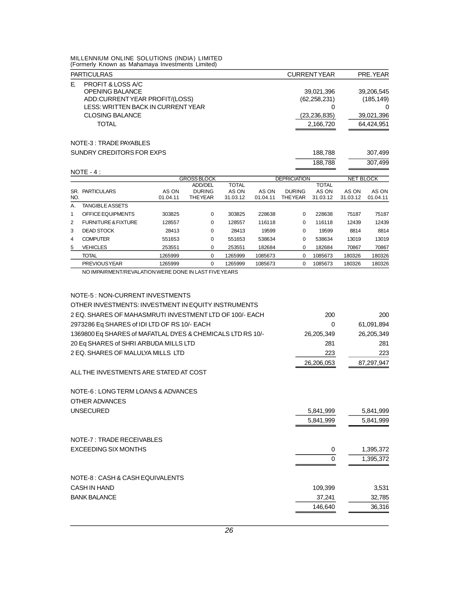**MILLENNIUM ONLINE SOLUTIONS (INDIA) LIMITED (Formerly Known as Mahamaya Investments Limited)**

| <b>PARTICULRAS</b>                                                                                                                                          | <b>CURRENTYEAR</b>                                               | PRE.YEAR                                             |
|-------------------------------------------------------------------------------------------------------------------------------------------------------------|------------------------------------------------------------------|------------------------------------------------------|
| PROFIT & LOSS A/C<br>F.<br><b>OPENING BALANCE</b><br>ADD:CURRENTYEAR PROFIT/(LOSS)<br>LESS: WRITTEN BACK IN CURRENT YEAR<br><b>CLOSING BALANCE</b><br>TOTAL | 39,021,396<br>(62, 258, 231)<br>0<br>(23, 236, 835)<br>2,166,720 | 39,206,545<br>(185, 149)<br>39,021,396<br>64,424,951 |
| <b>NOTE-3: TRADE PAYABLES</b>                                                                                                                               |                                                                  |                                                      |
| SUNDRY CREDITORS FOR EXPS                                                                                                                                   | 188.788                                                          | 307.499                                              |

|     |                                |          |                    |              |          |                     | 188,788      |                  | 307,499  |
|-----|--------------------------------|----------|--------------------|--------------|----------|---------------------|--------------|------------------|----------|
|     | $NOTE - 4:$                    |          |                    |              |          |                     |              |                  |          |
|     |                                |          | <b>GROSS BLOCK</b> |              |          | <b>DEPRICIATION</b> |              | <b>NET BLOCK</b> |          |
|     |                                |          | ADD/DEL            | <b>TOTAL</b> |          |                     | <b>TOTAL</b> |                  |          |
| SR. | <b>PARTICULARS</b>             | AS ON    | <b>DURING</b>      | AS ON        | AS ON    | <b>DURING</b>       | AS ON        | AS ON            | AS ON    |
| NO. |                                | 01.04.11 | <b>THE YEAR</b>    | 31.03.12     | 01.04.11 | <b>THE YEAR</b>     | 31.03.12     | 31.03.12         | 01.04.11 |
| А.  | <b>TANGIBLE ASSETS</b>         |          |                    |              |          |                     |              |                  |          |
| 1   | OFFICE EQUIPMENTS              | 303825   | 0                  | 303825       | 228638   | $\Omega$            | 228638       | 75187            | 75187    |
| 2   | <b>FURNITURE &amp; FIXTURE</b> | 128557   | 0                  | 128557       | 116118   | 0                   | 116118       | 12439            | 12439    |
| 3   | <b>DEAD STOCK</b>              | 28413    | 0                  | 28413        | 19599    | 0                   | 19599        | 8814             | 8814     |
| 4   | <b>COMPUTER</b>                | 551653   | $\Omega$           | 551653       | 538634   | $\Omega$            | 538634       | 13019            | 13019    |
| 5   | <b>VEHICLES</b>                | 253551   | 0                  | 253551       | 182684   | 0                   | 182684       | 70867            | 70867    |
|     | TOTAL                          | 1265999  | 0                  | 1265999      | 1085673  | 0                   | 1085673      | 180326           | 180326   |
|     | <b>PREVIOUS YEAR</b>           | 1265999  | 0                  | 1265999      | 1085673  | 0                   | 1085673      | 180326           | 180326   |

**NO IMPAIRMENT/REVALATION WERE DONE IN LAST FIVE YEARS**

| <b>NOTE-5: NON-CURRENT INVESTMENTS</b>                     |            |            |
|------------------------------------------------------------|------------|------------|
| OTHER INVESTMENTS: INVESTMENT IN EQUITY INSTRUMENTS        |            |            |
| 2 EQ. SHARES OF MAHASMRUTI INVESTMENT LTD OF 100/- EACH    | 200        | 200        |
| 2973286 Eq SHARES of IDI LTD OF RS 10/- EACH               | $\Omega$   | 61,091,894 |
| 1369800 Eq SHARES of MAFATLAL DYES & CHEMICALS LTD RS 10/- | 26,205,349 | 26,205,349 |
| 20 Eq SHARES of SHRI ARBUDA MILLS LTD                      | 281        | 281        |
| 2 EQ. SHARES OF MALULYA MILLS LTD                          | 223        | 223        |
|                                                            | 26,206,053 | 87,297,947 |
| ALL THE INVESTMENTS ARE STATED AT COST                     |            |            |
| <b>NOTE-6: LONG TERM LOANS &amp; ADVANCES</b>              |            |            |
| OTHER ADVANCES                                             |            |            |
| <b>UNSECURED</b>                                           | 5,841,999  | 5,841,999  |
|                                                            | 5,841,999  | 5,841,999  |
| <b>NOTE-7: TRADE RECEIVABLES</b>                           |            |            |
| EXCEEDING SIX MONTHS                                       | 0          | 1,395,372  |
|                                                            | $\Omega$   | 1,395,372  |
| <b>NOTE-8: CASH &amp; CASH EQUIVALENTS</b>                 |            |            |
| CASH IN HAND                                               | 109.399    | 3,531      |
| <b>BANK BALANCE</b>                                        | 37.241     | 32,785     |
|                                                            | 146.640    | 36,316     |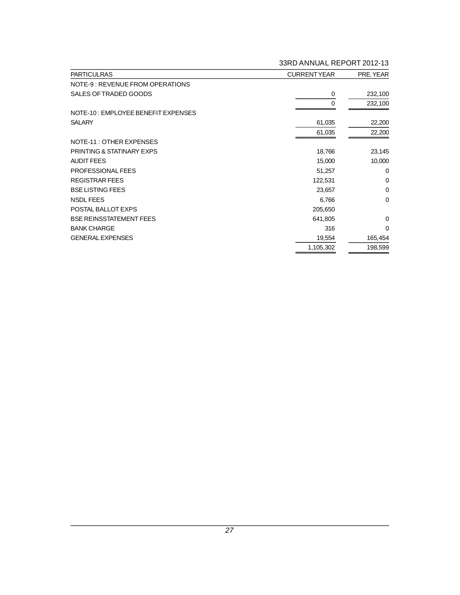| <b>PARTICULRAS</b>                        | <b>CURRENTYEAR</b> | PRE.YEAR    |
|-------------------------------------------|--------------------|-------------|
| <b>NOTE-9: REVENUE FROM OPERATIONS</b>    |                    |             |
| SALES OF TRADED GOODS                     | 0                  | 232,100     |
|                                           | 0                  | 232,100     |
| <b>NOTE-10: EMPLOYEE BENEFIT EXPENSES</b> |                    |             |
| <b>SALARY</b>                             | 61,035             | 22,200      |
|                                           | 61,035             | 22,200      |
| <b>NOTE-11: OTHER EXPENSES</b>            |                    |             |
| <b>PRINTING &amp; STATINARY EXPS</b>      | 18,766             | 23,145      |
| <b>AUDIT FEES</b>                         | 15,000             | 10,000      |
| PROFESSIONAL FEES                         | 51,257             | 0           |
| <b>REGISTRAR FEES</b>                     | 122,531            | $\mathbf 0$ |
| <b>BSE LISTING FEES</b>                   | 23,657             | $\mathbf 0$ |
| <b>NSDL FEES</b>                          | 6,766              | $\mathbf 0$ |
| POSTAL BALLOT EXPS                        | 205,650            |             |
| <b>BSE REINSSTATEMENT FEES</b>            | 641,805            | 0           |
| <b>BANK CHARGE</b>                        | 316                | $\Omega$    |
| <b>GENERAL EXPENSES</b>                   | 19,554             | 165,454     |
|                                           | 1,105,302          | 198,599     |

# **33RD ANNUAL REPORT 2012-13**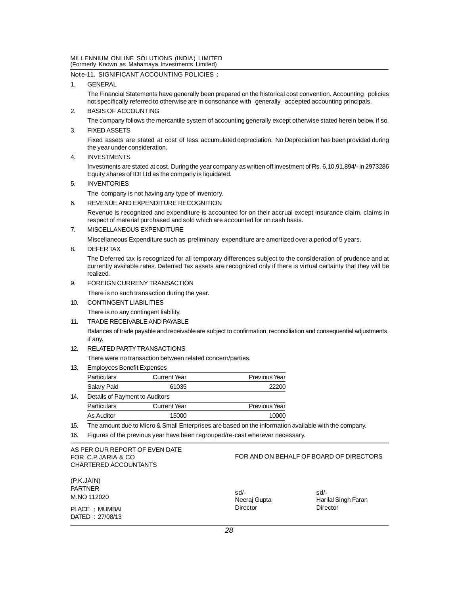# **Note-11. SIGNIFICANT ACCOUNTING POLICIES :**

# **1. GENERAL**

**The Financial Statements have generally been prepared on the historical cost convention. Accounting policies not specifically referred to otherwise are in consonance with generally accepted accounting principals.**

- **2. BASIS OF ACCOUNTING The company follows the mercantile system of accounting generally except otherwise stated herein below, if so.**
- **3. FIXED ASSETS**

**Fixed assets are stated at cost of less accumulated depreciation. No Depreciation has been provided during the year under consideration.**

**4. INVESTMENTS**

**Investments are stated at cost. During the year company as written off investment of Rs. 6,10,91,894/- in 2973286 Equity shares of IDI Ltd as the company is liquidated.**

**5. INVENTORIES**

**The company is not having any type of inventory.**

**6. REVENUE AND EXPENDITURE RECOGNITION**

**Revenue is recognized and expenditure is accounted for on their accrual except insurance claim, claims in respect of material purchased and sold which are accounted for on cash basis.**

**7. MISCELLANEOUS EXPENDITURE**

**Miscellaneous Expenditure such as preliminary expenditure are amortized over a period of 5 years.**

**8. DEFER TAX**

**The Deferred tax is recognized for all temporary differences subject to the consideration of prudence and at currently available rates. Deferred Tax assets are recognized only if there is virtual certainty that they will be realized.**

**9. FOREIGN CURRENY TRANSACTION**

**There is no such transaction during the year.**

- **10. CONTINGENT LIABILITIES There is no any contingent liability.**
- **11. TRADE RECEIVABLE AND PAYABLE**

**Balances of trade payable and receivable are subject to confirmation, reconciliation and consequential adjustments, if any.**

**12. RELATED PARTY TRANSACTIONS**

**There were no transaction between related concern/parties.**

| 13. | <b>Employees Benefit Expenses</b> |                     |                      |
|-----|-----------------------------------|---------------------|----------------------|
|     | <b>Particulars</b>                | <b>Current Year</b> | <b>Previous Year</b> |
|     | Salary Paid                       | 61035               | 22200                |
| 14. | Details of Payment to Auditors    |                     |                      |

| <b>Particulars</b> | <b>Current Year</b> | Previous Year |
|--------------------|---------------------|---------------|
| As Auditor         | 15000               | 10000         |

**15. The amount due to Micro & Small Enterprises are based on the information available with the company.**

**16. Figures of the previous year have been regrouped/re-cast wherever necessary.**

# **AS PER OUR REPORT OF EVEN DATE FOR C.P.JARIA & CO CHARTERED ACCOUNTANTS**

# **FOR AND ON BEHALF OF BOARD OF DIRECTORS**

| (P.K.JAIN)      |              |                     |
|-----------------|--------------|---------------------|
| <b>PARTNER</b>  | sd/-         | sd/-                |
| M.NO 112020     | Neeraj Gupta | Harilal Singh Faran |
| PLACE : MUMBAI  | Director     | Director            |
| DATED: 27/08/13 |              |                     |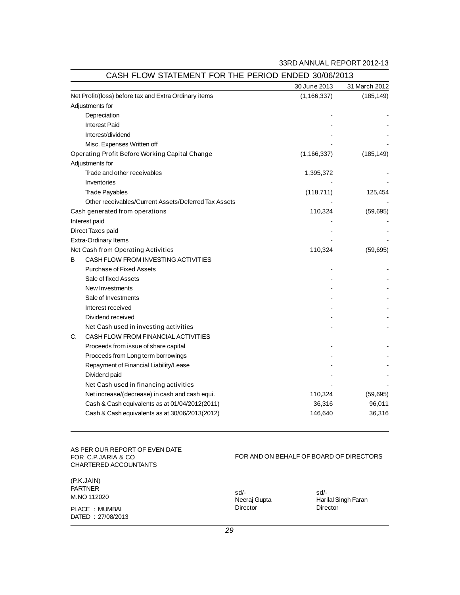# **33RD ANNUAL REPORT 2012-13**

|    |                                                       | 30 June 2013  | 31 March 2012 |
|----|-------------------------------------------------------|---------------|---------------|
|    | Net Profit/(loss) before tax and Extra Ordinary items | (1, 166, 337) | (185, 149)    |
|    | Adjustments for                                       |               |               |
|    | Depreciation                                          |               |               |
|    | <b>Interest Paid</b>                                  |               |               |
|    | Interest/dividend                                     |               |               |
|    | Misc. Expenses Written off                            |               |               |
|    | <b>Operating Profit Before Working Capital Change</b> | (1, 166, 337) | (185, 149)    |
|    | Adjustments for                                       |               |               |
|    | Trade and other receivables                           | 1,395,372     |               |
|    | Inventories                                           |               |               |
|    | <b>Trade Payables</b>                                 | (118, 711)    | 125,454       |
|    | Other receivables/Current Assets/Deferred Tax Assets  |               |               |
|    | Cash generated from operations                        | 110,324       | (59, 695)     |
|    | Interest paid                                         |               |               |
|    | Direct Taxes paid                                     |               |               |
|    | Extra-Ordinary Items                                  |               |               |
|    | <b>Net Cash from Operating Activities</b>             | 110,324       | (59, 695)     |
| в  | CASH FLOW FROM INVESTING ACTIVITIES                   |               |               |
|    | <b>Purchase of Fixed Assets</b>                       |               |               |
|    | Sale of fixed Assets                                  |               |               |
|    | New Investments                                       |               |               |
|    | Sale of Investments                                   |               |               |
|    | Interest received                                     |               |               |
|    | Dividend received                                     |               |               |
|    | Net Cash used in investing activities                 |               |               |
| C. | CASH FLOW FROM FINANCIAL ACTIVITIES                   |               |               |
|    | Proceeds from issue of share capital                  |               |               |
|    | Proceeds from Long term borrowings                    |               |               |
|    | Repayment of Financial Liability/Lease                |               |               |
|    | Dividend paid                                         |               |               |
|    | Net Cash used in financing activities                 |               |               |
|    | Net increase/(decrease) in cash and cash equi.        | 110,324       | (59, 695)     |
|    | Cash & Cash equivalents as at 01/04/2012(2011)        | 36,316        | 96,011        |
|    | Cash & Cash equivalents as at 30/06/2013(2012)        | 146,640       | 36,316        |

# **CASH FLOW STATEMENT FOR THE PERIOD ENDED 30/06/2013**

**AS PER OUR REPORT OF EVEN DATE FOR C.P.JARIA & CO CHARTERED ACCOUNTANTS**

# **FOR AND ON BEHALF OF BOARD OF DIRECTORS**

| (P.K.JAIN)         |              |                     |
|--------------------|--------------|---------------------|
| <b>PARTNER</b>     | sd/-         | sd/-                |
| <b>M.NO 112020</b> | Neeraj Gupta | Harilal Singh Faran |
| PLACE : MUMBAI     | Director     | Director            |
| DATED: 27/08/2013  |              |                     |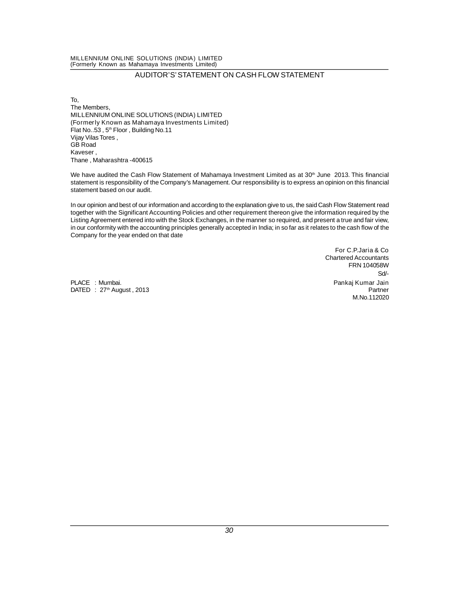# **AUDITOR'S' STATEMENT ON CASH FLOW STATEMENT**

**To, The Members, MILLENNIUM ONLINE SOLUTIONS (INDIA) LIMITED (Formerly Known as Mahamaya Investments Limited) Flat No..53 , 5th Floor , Building No.11 Vijay Vilas Tores , GB Road Kaveser , Thane , Maharashtra -400615**

**We have audited the Cash Flow Statement of Mahamaya Investment Limited as at 30th June 2013. This financial statement is responsibility of the Company's Management. Our responsibility is to express an opinion on this financial statement based on our audit.**

**In our opinion and best of our information and according to the explanation give to us, the said Cash Flow Statement read together with the Significant Accounting Policies and other requirement thereon give the information required by the Listing Agreement entered into with the Stock Exchanges, in the manner so required, and present a true and fair view, in our conformity with the accounting principles generally accepted in India; in so far as it relates to the cash flow of the Company for the year ended on that date**

**PLACE : Mumbai. Pankaj Kumar Jain**  $\text{DATED}$  :  $27\text{th}$  August, 2013

**For C.P.Jaria & Co Chartered Accountants FRN 104058W Sd/- M.No.112020**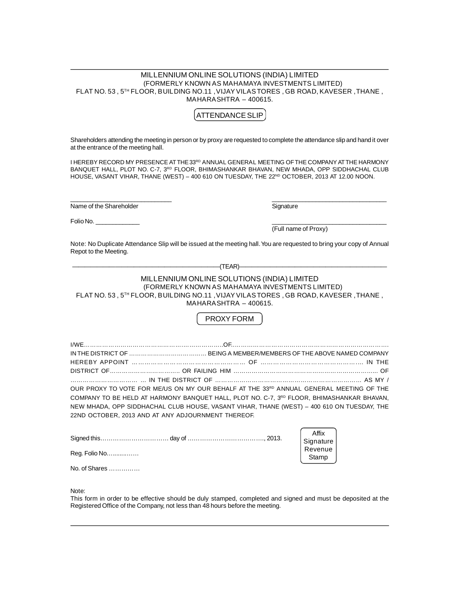# **MILLENNIUM ONLINE SOLUTIONS (INDIA) LIMITED (FORMERLY KNOWN AS MAHAMAYA INVESTMENTS LIMITED) FLAT NO. 53 , 5TH FLOOR, BUILDING NO.11 , VIJAY VILAS TORES , GB ROAD, KAVESER , THANE , MAHARASHTRA – 400615.**

# **ATTENDANCE SLIP**

**Shareholders attending the meeting in person or by proxy are requested to complete the attendance slip and hand it over at the entrance of the meeting hall.**

**I HEREBY RECORD MY PRESENCE AT THE33RD ANNUAL GENERAL MEETING OF THE COMPANY AT THE HARMONY BANQUET HALL, PLOT NO. C-7, 3RD FLOOR, BHIMASHANKAR BHAVAN, NEW MHADA, OPP SIDDHACHAL CLUB HOUSE, VASANT VIHAR, THANE (WEST) – 400 610 ON TUESDAY, THE 22ND OCTOBER, 2013 AT 12.00 NOON.**

**\_\_\_\_\_\_\_\_\_\_\_\_\_\_\_\_\_\_\_\_\_\_\_\_\_\_\_\_\_\_ \_\_\_\_\_\_\_\_\_\_\_\_\_\_\_\_\_\_\_\_\_\_\_\_\_\_\_\_\_\_\_\_\_\_ Name of the Shareholder Signature Signature** 

**Folio No. \_\_\_\_\_\_\_\_\_\_\_\_\_ \_\_\_\_\_\_\_\_\_\_\_\_\_\_\_\_\_\_\_\_\_\_\_\_\_\_\_\_\_\_\_\_\_\_**

**(Full name of Proxy)**

**Note: No Duplicate Attendance Slip will be issued at the meeting hall. You are requested to bring your copy of Annual Repot to the Meeting.**

| 'TEAR) |  |
|--------|--|
|        |  |

# **MILLENNIUM ONLINE SOLUTIONS (INDIA) LIMITED (FORMERLY KNOWN AS MAHAMAYA INVESTMENTS LIMITED) FLAT NO. 53 , 5TH FLOOR, BUILDING NO.11 , VIJAY VILAS TORES , GB ROAD, KAVESER , THANE , MAHARASHTRA – 400615.**

# **PROXY FORM**

| OUR PROXY TO VOTE FOR ME/US ON MY OUR BEHALF AT THE 33RD ANNUAL GENERAL MEETING OF THE                |  |
|-------------------------------------------------------------------------------------------------------|--|
| COMPANY TO BE HELD AT HARMONY BANQUET HALL. PLOT NO. C-7, 3 <sup>RD</sup> FLOOR, BHIMASHANKAR BHAVAN, |  |
| NEW MHADA, OPP SIDDHACHAL CLUB HOUSE, VASANT VIHAR, THANE (WEST) - 400 610 ON TUESDAY, THE            |  |
| 22ND OCTOBER, 2013 AND AT ANY ADJOURNMENT THEREOF.                                                    |  |

|                                   | Affix<br>Signature |
|-----------------------------------|--------------------|
| Reg. Folio No                     | Revenue<br>Stamp   |
| No. of Shares $\ldots$ , $\ldots$ |                    |

**Note:**

**This form in order to be effective should be duly stamped, completed and signed and must be deposited at the Registered Office of the Company, not less than 48 hours before the meeting.**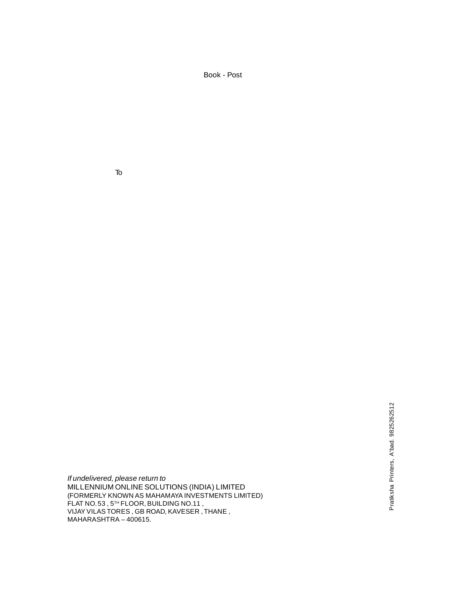**Book - Post**

**To**

*If undelivered, please return to* **MILLENNIUM ONLINE SOLUTIONS (INDIA) LIMITED (FORMERLY KNOWN AS MAHAMAYA INVESTMENTS LIMITED) FLAT NO. 53 , 5TH FLOOR, BUILDING NO.11 , VIJAY VILAS TORES , GB ROAD, KAVESER , THANE , MAHARASHTRA – 400615.**